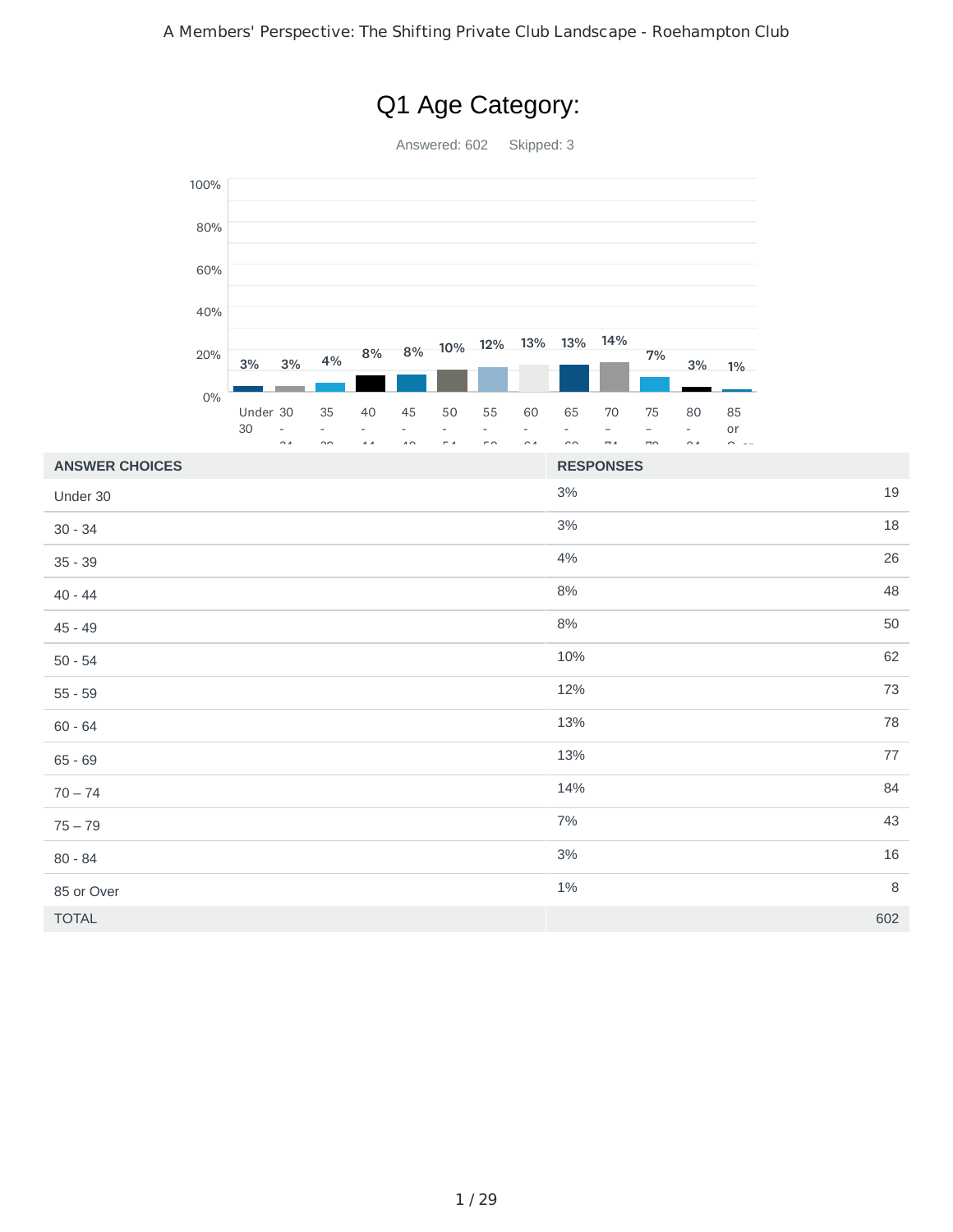

# Q1 Age Category: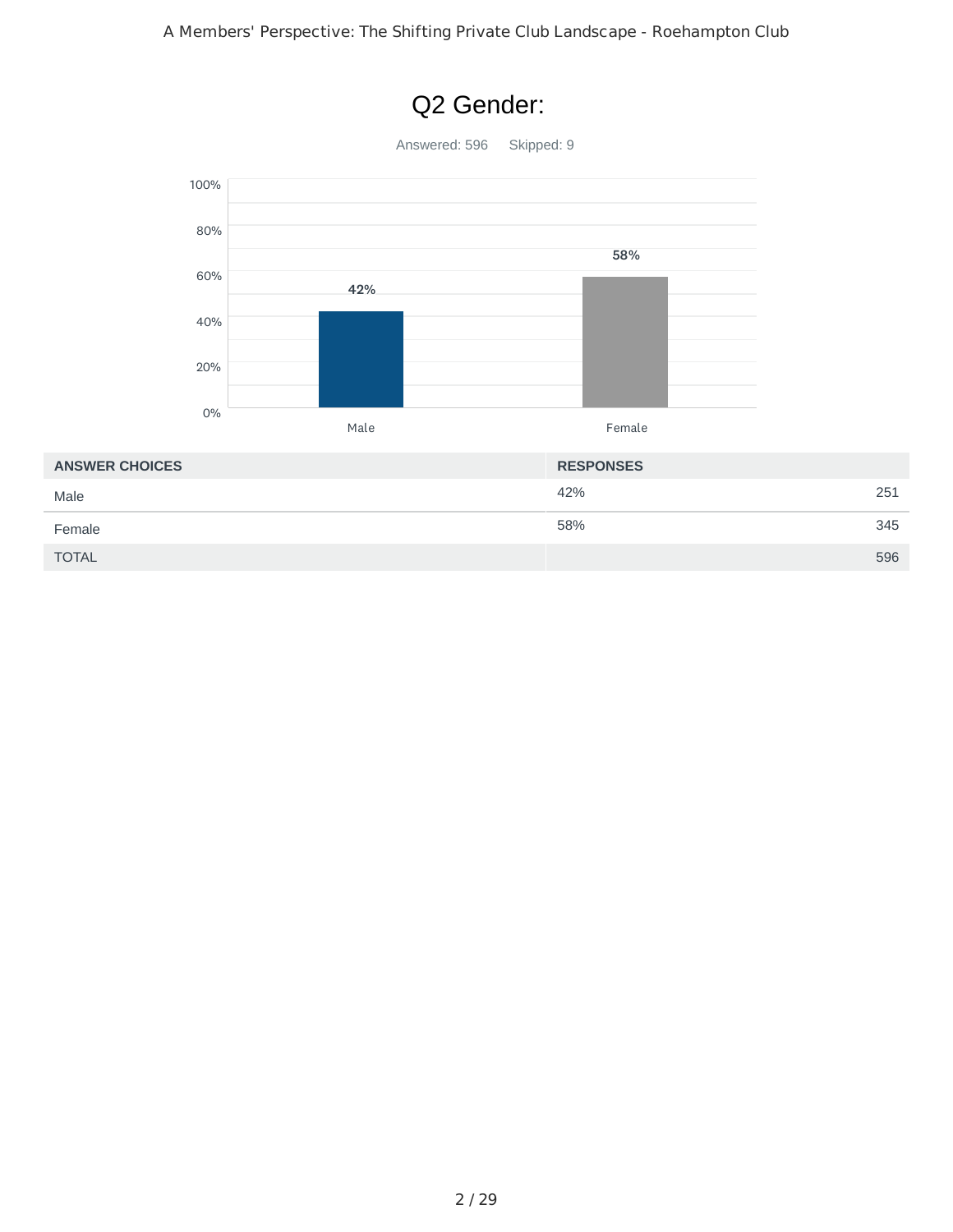

# Q2 Gender: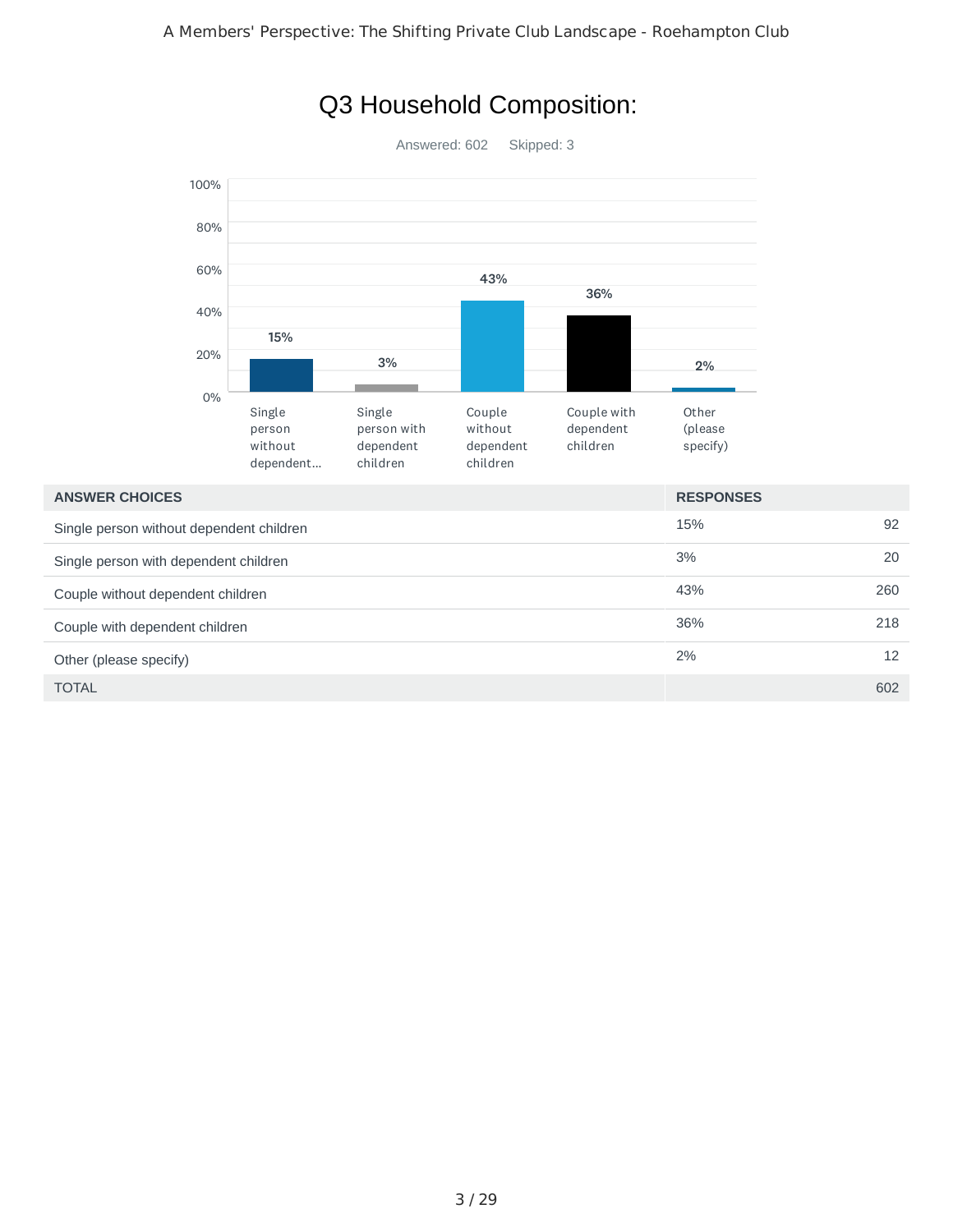

# Q3 Household Composition:

| <b>ANSWER CHOICES</b>                    | <b>RESPONSES</b> |     |
|------------------------------------------|------------------|-----|
| Single person without dependent children | 15%              | 92  |
| Single person with dependent children    | 3%               | 20  |
| Couple without dependent children        | 43%              | 260 |
| Couple with dependent children           | 36%              | 218 |
| Other (please specify)                   | 2%               | 12  |
| <b>TOTAL</b>                             |                  | 602 |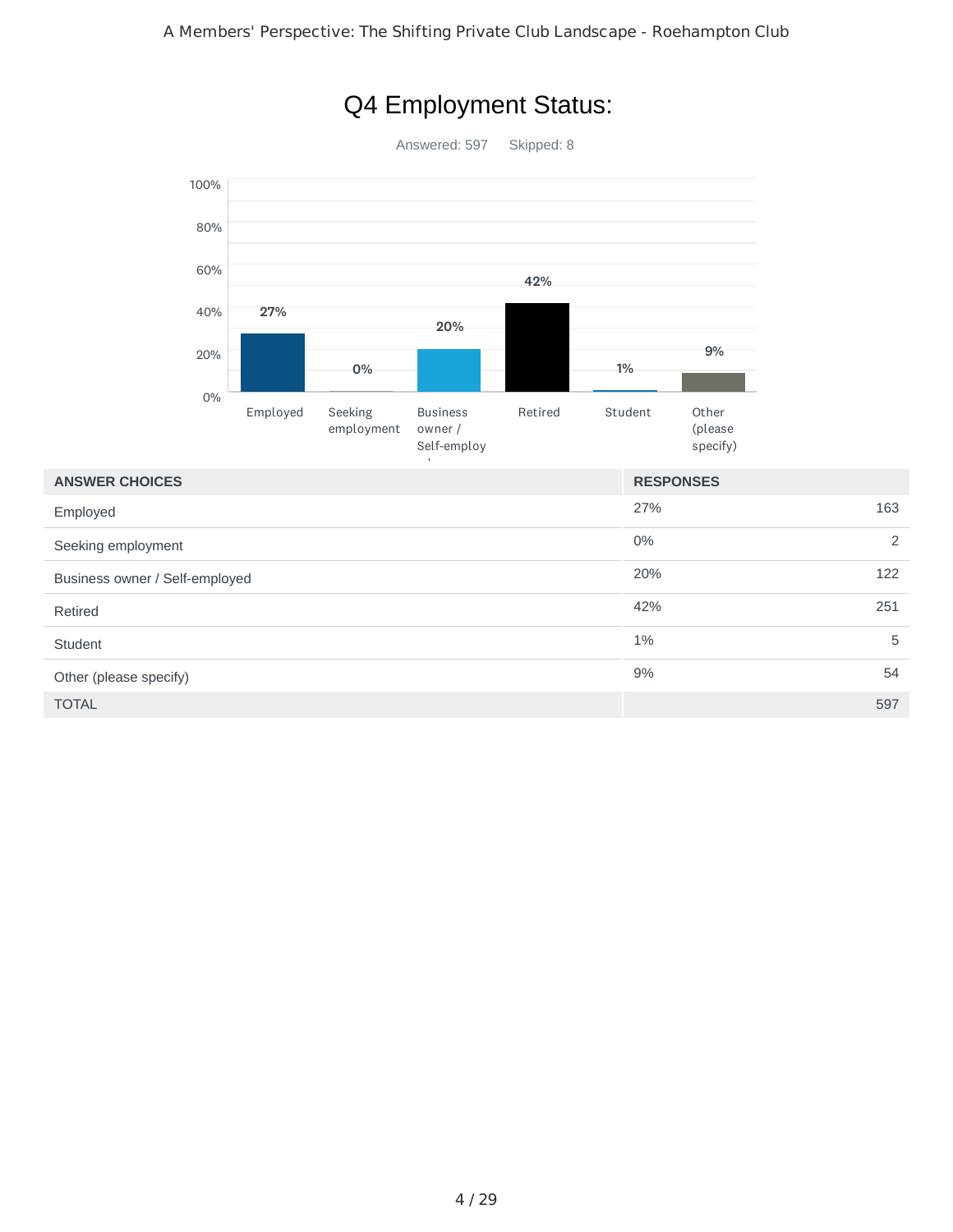

# Q4 Employment Status:

| <b>ANSWER CHOICES</b>          | <b>RESPONSES</b> |     |
|--------------------------------|------------------|-----|
| Employed                       | 27%              | 163 |
| Seeking employment             | 0%               | 2   |
| Business owner / Self-employed | 20%              | 122 |
| Retired                        | 42%              | 251 |
| Student                        | $1\%$            | 5   |
| Other (please specify)         | 9%               | 54  |
| <b>TOTAL</b>                   |                  | 597 |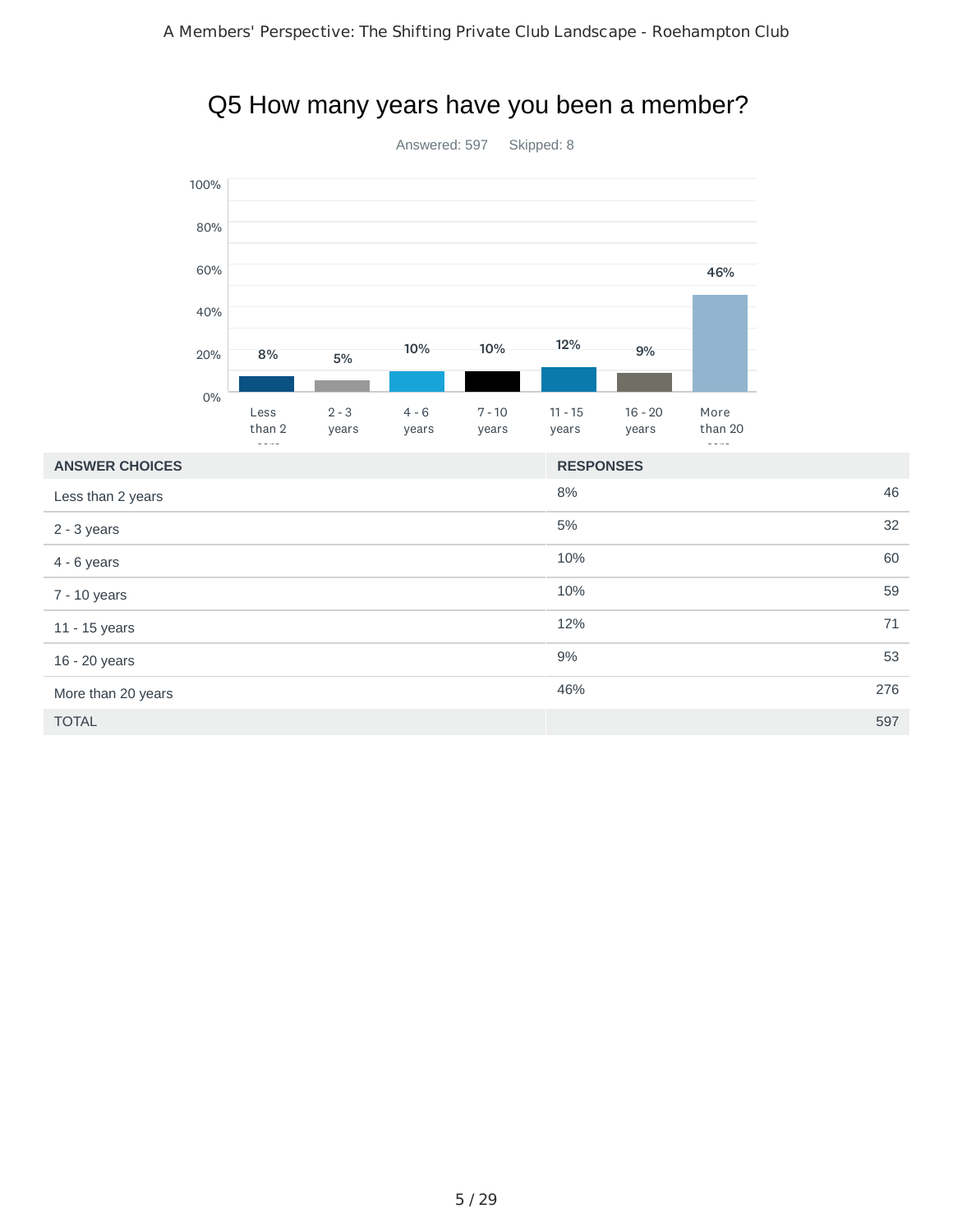



| <b>ANSWER CHOICES</b> | <b>RESPONSES</b> |     |
|-----------------------|------------------|-----|
| Less than 2 years     | 8%               | 46  |
| $2 - 3$ years         | 5%               | 32  |
| $4 - 6$ years         | 10%              | 60  |
| 7 - 10 years          | 10%              | 59  |
| 11 - 15 years         | 12%              | 71  |
| 16 - 20 years         | 9%               | 53  |
| More than 20 years    | 46%              | 276 |
| <b>TOTAL</b>          |                  | 597 |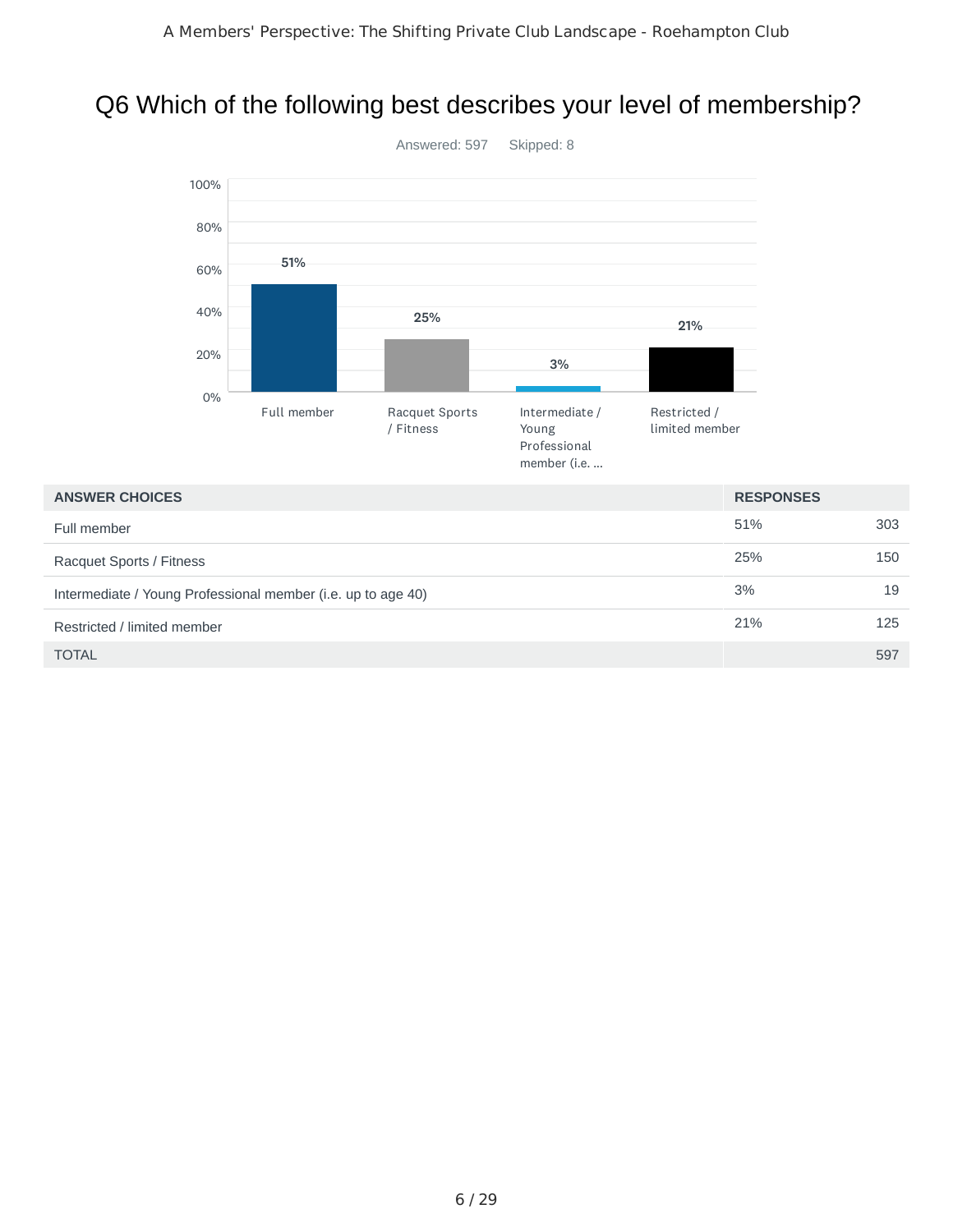# Q6 Which of the following best describes your level of membership?



#### **ANSWER CHOICES RESPONSES**

| Full member                                                  | 51% | 303 |
|--------------------------------------------------------------|-----|-----|
| Racquet Sports / Fitness                                     | 25% | 150 |
| Intermediate / Young Professional member (i.e. up to age 40) | 3%  | 19  |
| Restricted / limited member                                  | 21% | 125 |
| <b>TOTAL</b>                                                 |     | 597 |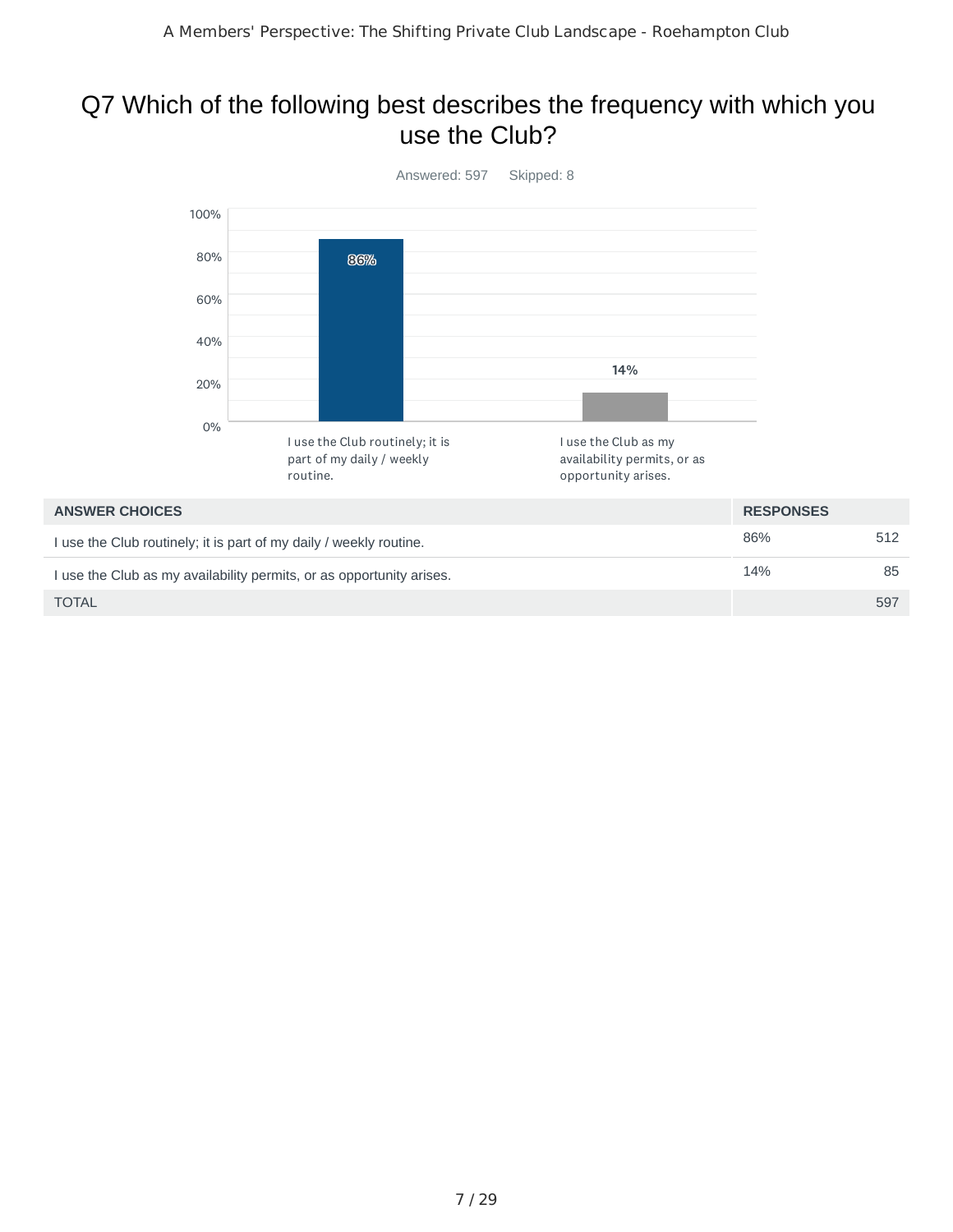### Q7 Which of the following best describes the frequency with which you use the Club?



| ,,,,,,,,,,,,,,,,,,,,,                                                | .   |     |
|----------------------------------------------------------------------|-----|-----|
| I use the Club routinely; it is part of my daily / weekly routine.   | 86% | 512 |
| I use the Club as my availability permits, or as opportunity arises. | 14% | 85  |
| <b>TOTAL</b>                                                         |     | 597 |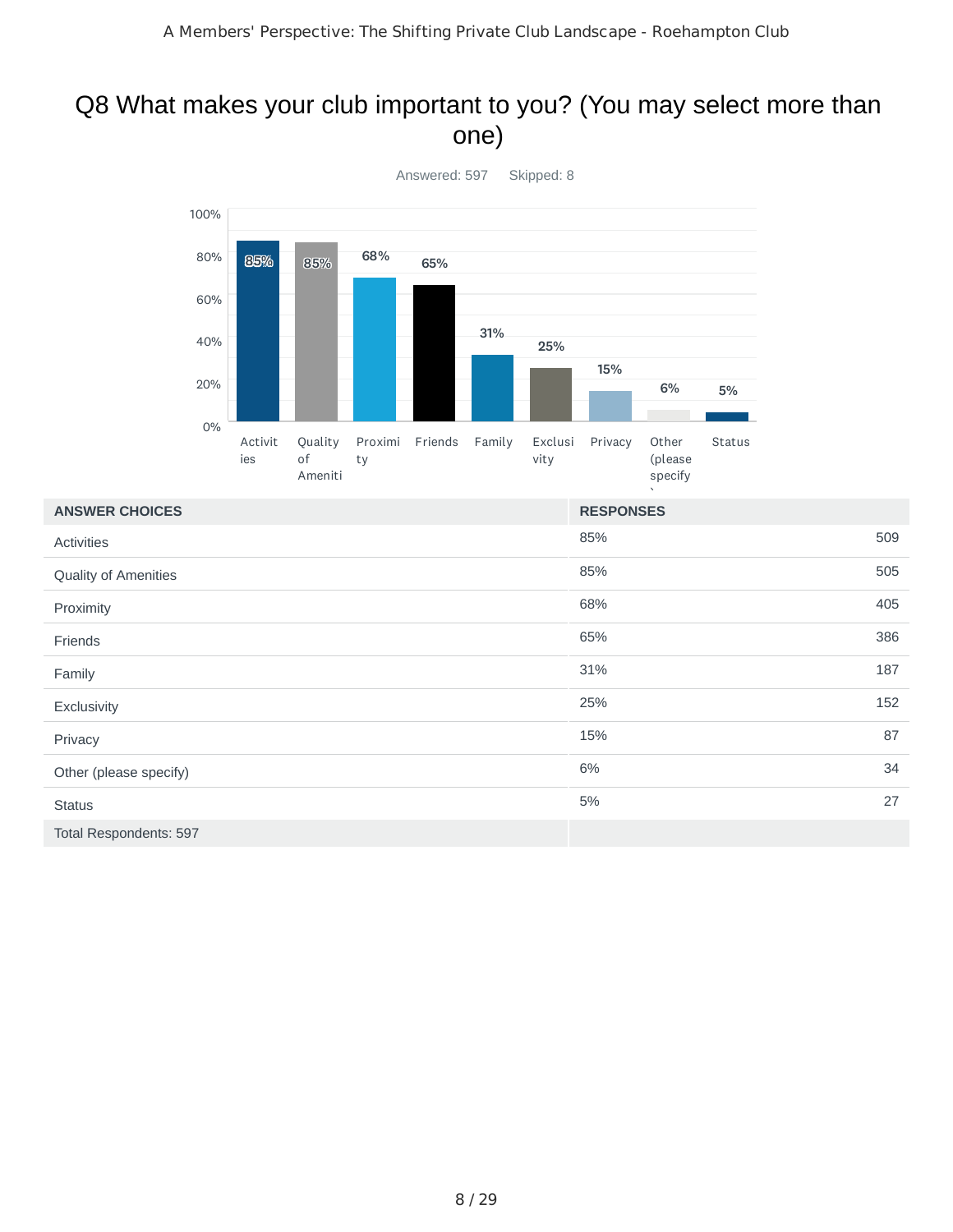#### Q8 What makes your club important to you? (You may select more than one)



| <b>ANSWER CHOICES</b>         | <b>RESPONSES</b> |     |
|-------------------------------|------------------|-----|
| <b>Activities</b>             | 85%              | 509 |
| Quality of Amenities          | 85%              | 505 |
| Proximity                     | 68%              | 405 |
| Friends                       | 65%              | 386 |
| Family                        | 31%              | 187 |
| Exclusivity                   | 25%              | 152 |
| Privacy                       | 15%              | 87  |
| Other (please specify)        | 6%               | 34  |
| <b>Status</b>                 | 5%               | 27  |
| <b>Total Respondents: 597</b> |                  |     |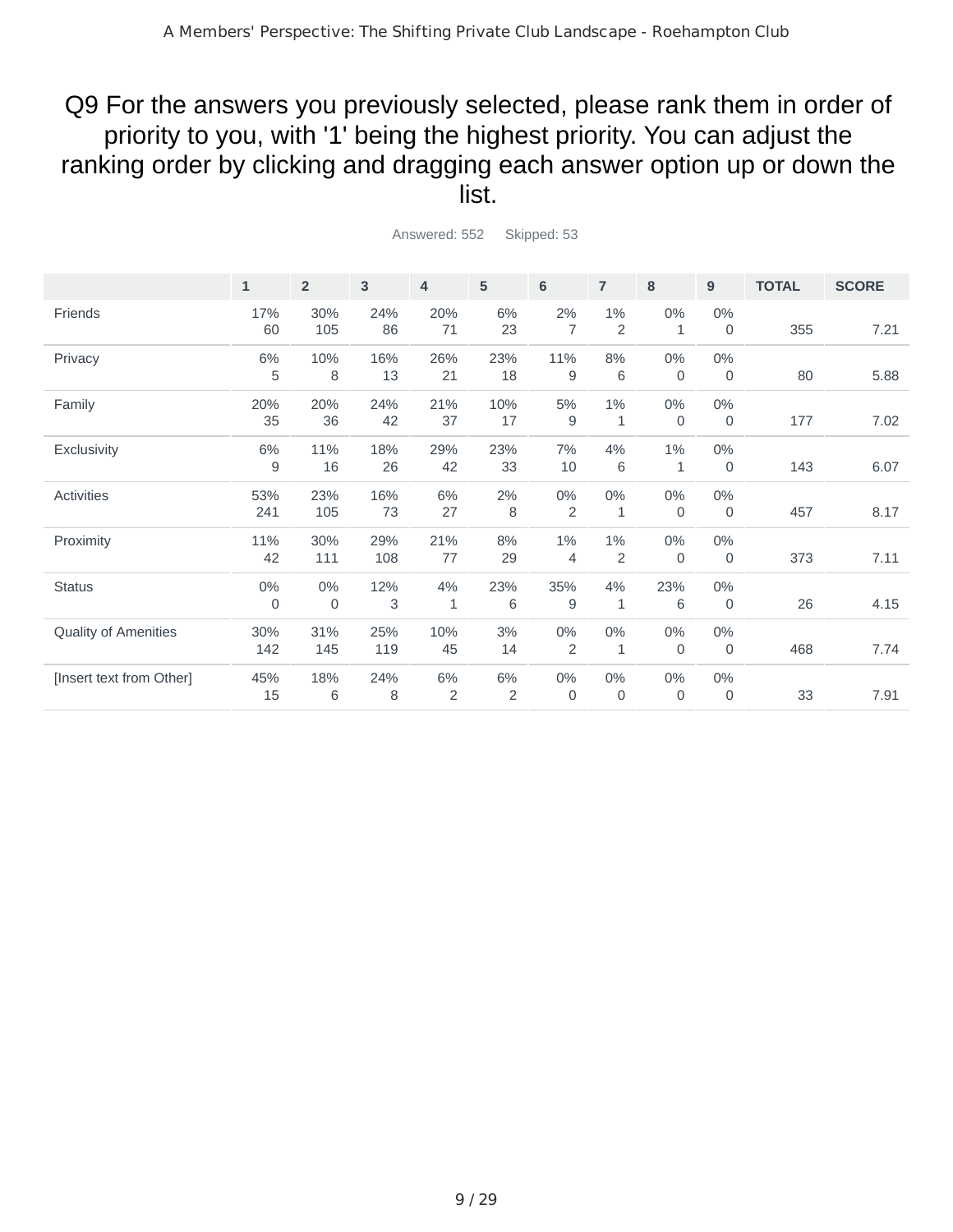#### Q9 For the answers you previously selected, please rank them in order of priority to you, with '1' being the highest priority. You can adjust the ranking order by clicking and dragging each answer option up or down the list.

|                          | $\mathbf{1}$ | 2 <sup>2</sup> | 3   | $\overline{4}$ | 5   | 6              | $\overline{7}$ | 8           | 9           | <b>TOTAL</b> | <b>SCORE</b> |
|--------------------------|--------------|----------------|-----|----------------|-----|----------------|----------------|-------------|-------------|--------------|--------------|
|                          |              |                |     |                |     |                |                |             |             |              |              |
| Friends                  | 17%          | 30%            | 24% | 20%            | 6%  | 2%             | 1%             | $0\%$       | 0%          |              |              |
|                          | 60           | 105            | 86  | 71             | 23  | $\overline{7}$ | $\mathbf{2}$   | 1           | 0           | 355          | 7.21         |
| Privacy                  | 6%           | 10%            | 16% | 26%            | 23% | 11%            | 8%             | $0\%$       | $0\%$       |              |              |
|                          | 5            | 8              | 13  | 21             | 18  | 9              | 6              | $\mathbf 0$ | 0           | 80           | 5.88         |
| Family                   | 20%          | 20%            | 24% | 21%            | 10% | 5%             | 1%             | $0\%$       | $0\%$       |              |              |
|                          | 35           | 36             | 42  | 37             | 17  | $\mathsf 9$    | $\mathbf 1$    | $\mathbf 0$ | 0           | 177          | 7.02         |
| Exclusivity              | 6%           | 11%            | 18% | 29%            | 23% | 7%             | 4%             | 1%          | $0\%$       |              |              |
|                          | 9            | 16             | 26  | 42             | 33  | 10             | 6              | 1           | 0           | 143          | 6.07         |
| <b>Activities</b>        | 53%          | 23%            | 16% | 6%             | 2%  | 0%             | 0%             | $0\%$       | $0\%$       |              |              |
|                          | 241          | 105            | 73  | 27             | 8   | $\overline{2}$ | 1              | 0           | 0           | 457          | 8.17         |
| Proximity                | 11%          | 30%            | 29% | 21%            | 8%  | 1%             | 1%             | $0\%$       | $0\%$       |              |              |
|                          | 42           | 111            | 108 | 77             | 29  | $\overline{4}$ | 2              | $\mathbf 0$ | $\mathbf 0$ | 373          | 7.11         |
| <b>Status</b>            | 0%           | 0%             | 12% | 4%             | 23% | 35%            | 4%             | 23%         | 0%          |              |              |
|                          | 0            | $\mathbf 0$    | 3   | $\mathbf 1$    | 6   | 9              | 1              | 6           | 0           | 26           | 4.15         |
| Quality of Amenities     | 30%          | 31%            | 25% | 10%            | 3%  | $0\%$          | 0%             | 0%          | 0%          |              |              |
|                          | 142          | 145            | 119 | 45             | 14  | $\overline{c}$ | 1              | 0           | 0           | 468          | 7.74         |
| [Insert text from Other] | 45%          | 18%            | 24% | 6%             | 6%  | 0%             | 0%             | $0\%$       | $0\%$       |              |              |
|                          | 15           | 6              | 8   | $\overline{2}$ | 2   | 0              | 0              | 0           | 0           | 33           | 7.91         |
|                          |              |                |     |                |     |                |                |             |             |              |              |

Answered: 552 Skipped: 53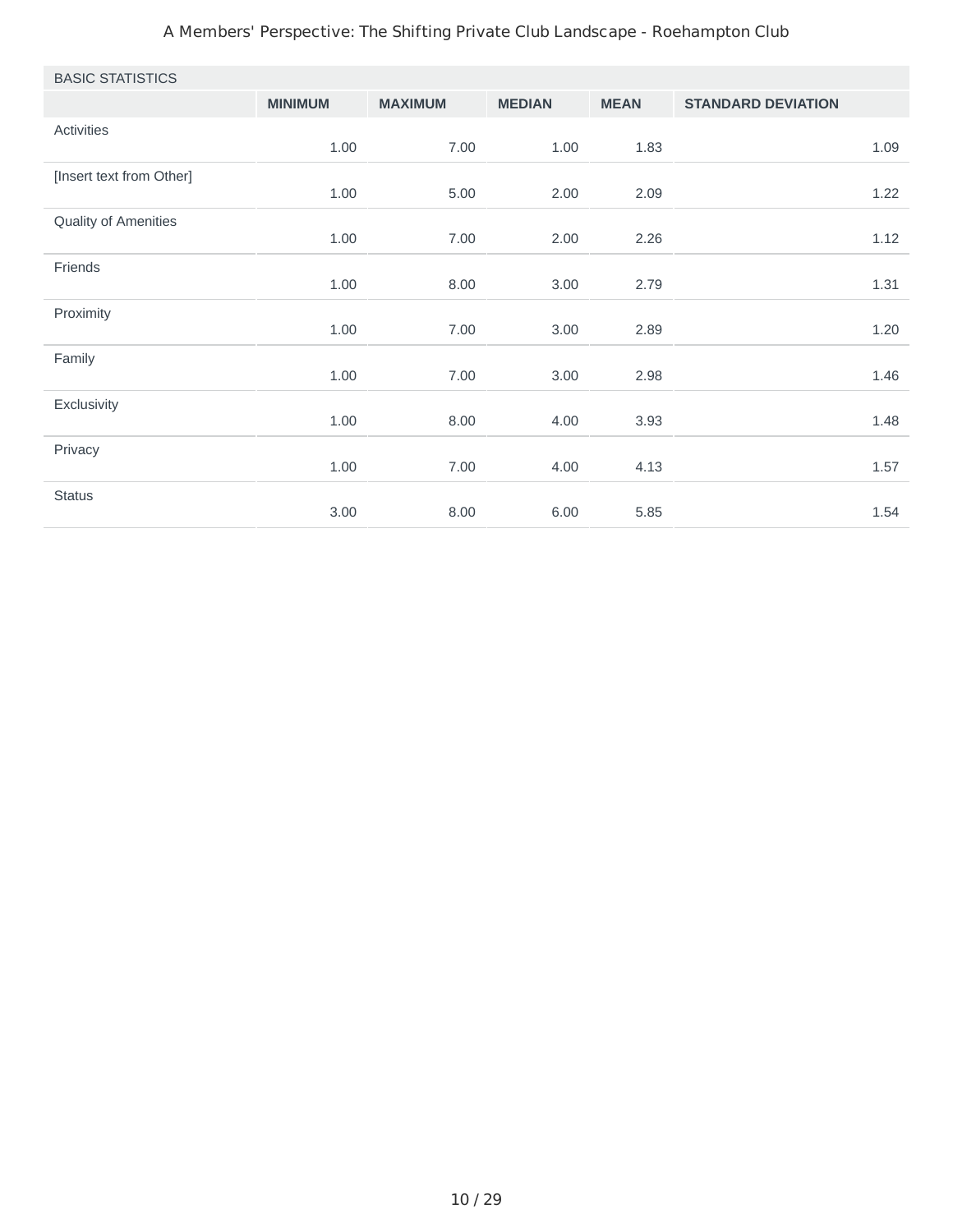#### A Members' Perspective: The Shifting Private Club Landscape - Roehampton Club

| <b>BASIC STATISTICS</b>  |                |                |               |             |                           |      |
|--------------------------|----------------|----------------|---------------|-------------|---------------------------|------|
|                          | <b>MINIMUM</b> | <b>MAXIMUM</b> | <b>MEDIAN</b> | <b>MEAN</b> | <b>STANDARD DEVIATION</b> |      |
| Activities               | 1.00           | 7.00           | 1.00          | 1.83        |                           | 1.09 |
| [Insert text from Other] | 1.00           | 5.00           | 2.00          | 2.09        |                           | 1.22 |
| Quality of Amenities     | 1.00           | 7.00           | 2.00          | 2.26        |                           | 1.12 |
| Friends                  | 1.00           | 8.00           | 3.00          | 2.79        |                           | 1.31 |
| Proximity                | 1.00           | 7.00           | 3.00          | 2.89        |                           | 1.20 |
| Family                   | 1.00           | 7.00           | 3.00          | 2.98        |                           | 1.46 |
| Exclusivity              | 1.00           | 8.00           | 4.00          | 3.93        |                           | 1.48 |
| Privacy                  | 1.00           | 7.00           | 4.00          | 4.13        |                           | 1.57 |
| <b>Status</b>            | 3.00           | 8.00           | 6.00          | 5.85        |                           | 1.54 |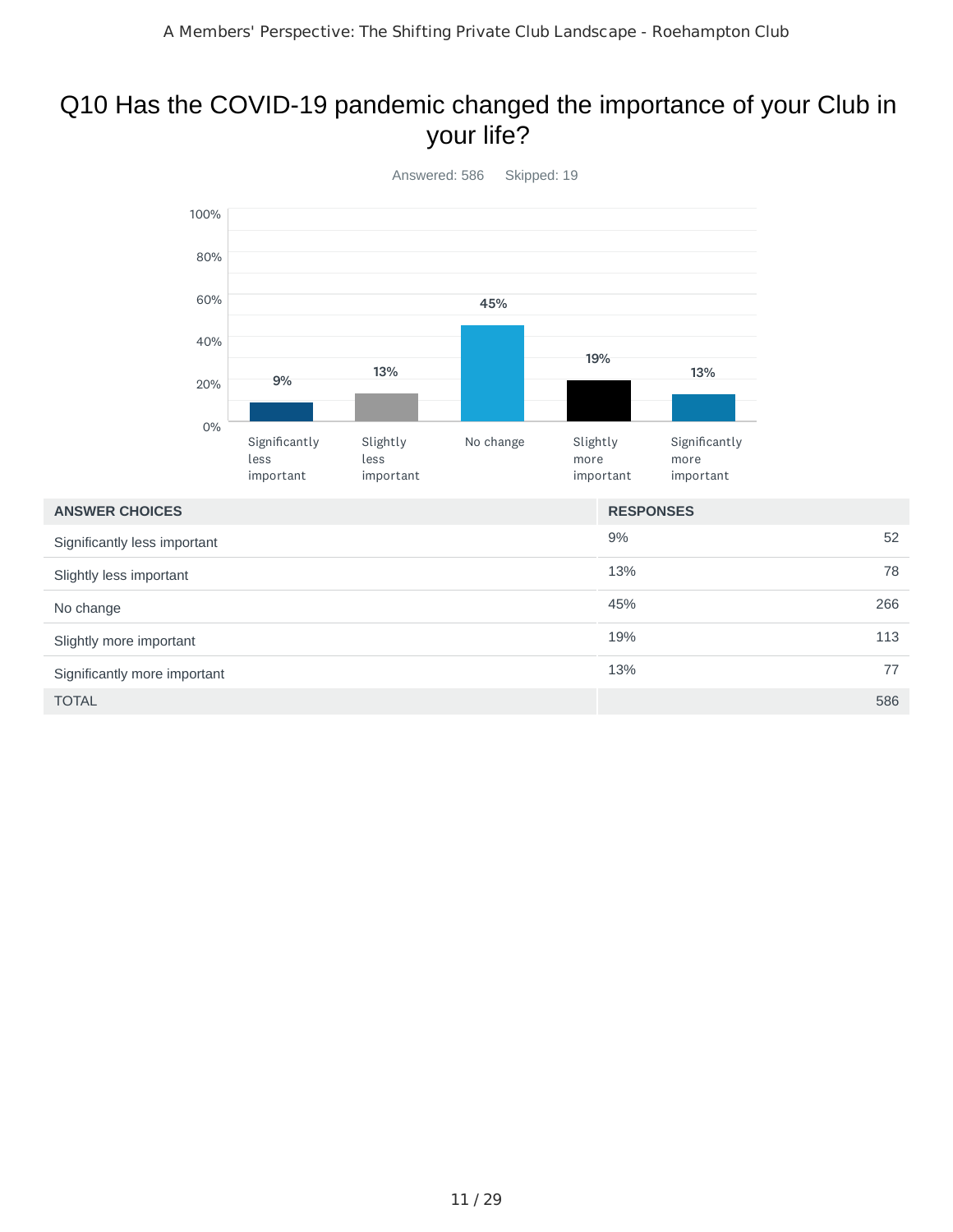## Q10 Has the COVID-19 pandemic changed the importance of your Club in your life?



| <b>ANSWER CHOICES</b>        | <b>RESPONSES</b> |
|------------------------------|------------------|
| Significantly less important | 9%<br>52         |
| Slightly less important      | 13%<br>78        |
| No change                    | 45%<br>266       |
| Slightly more important      | 19%<br>113       |
| Significantly more important | 13%<br>77        |
| <b>TOTAL</b>                 | 586              |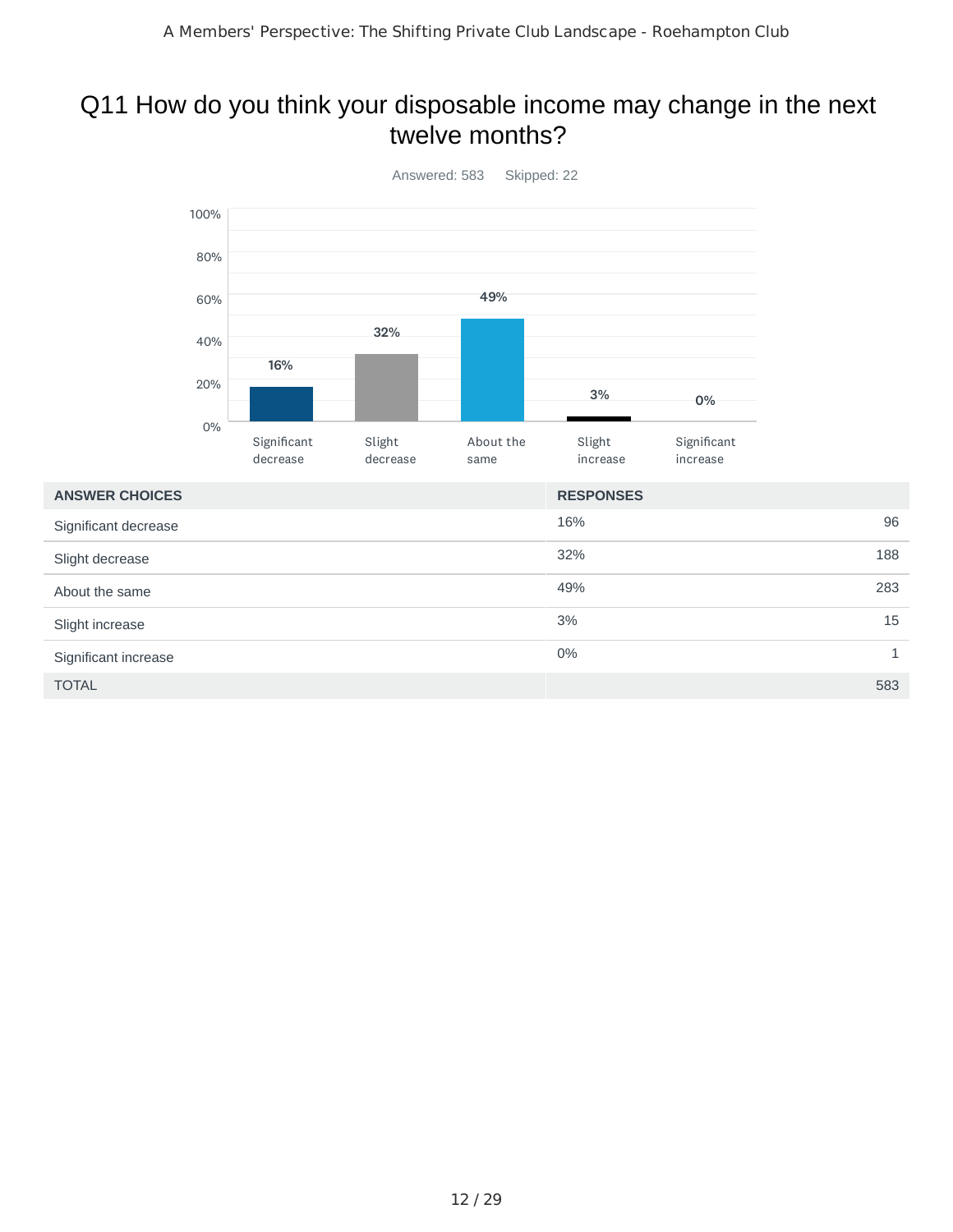#### Q11 How do you think your disposable income may change in the next twelve months?

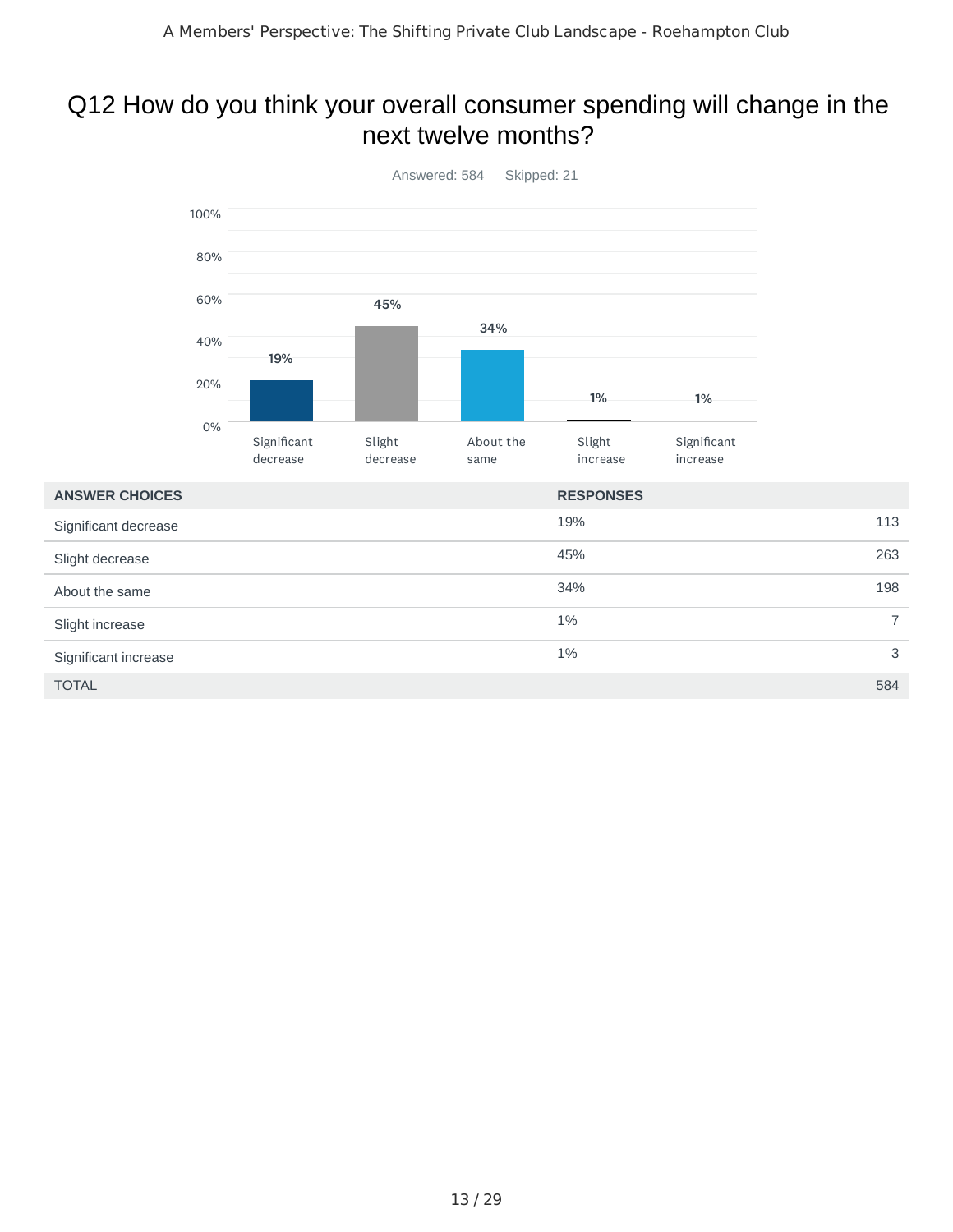### Q12 How do you think your overall consumer spending will change in the next twelve months?



 $\blacksquare$  TOTAL  $\blacksquare$  584

About the same

Slight increase

Significant increase

34% 198

 $1\%$  7

 $1\%$  3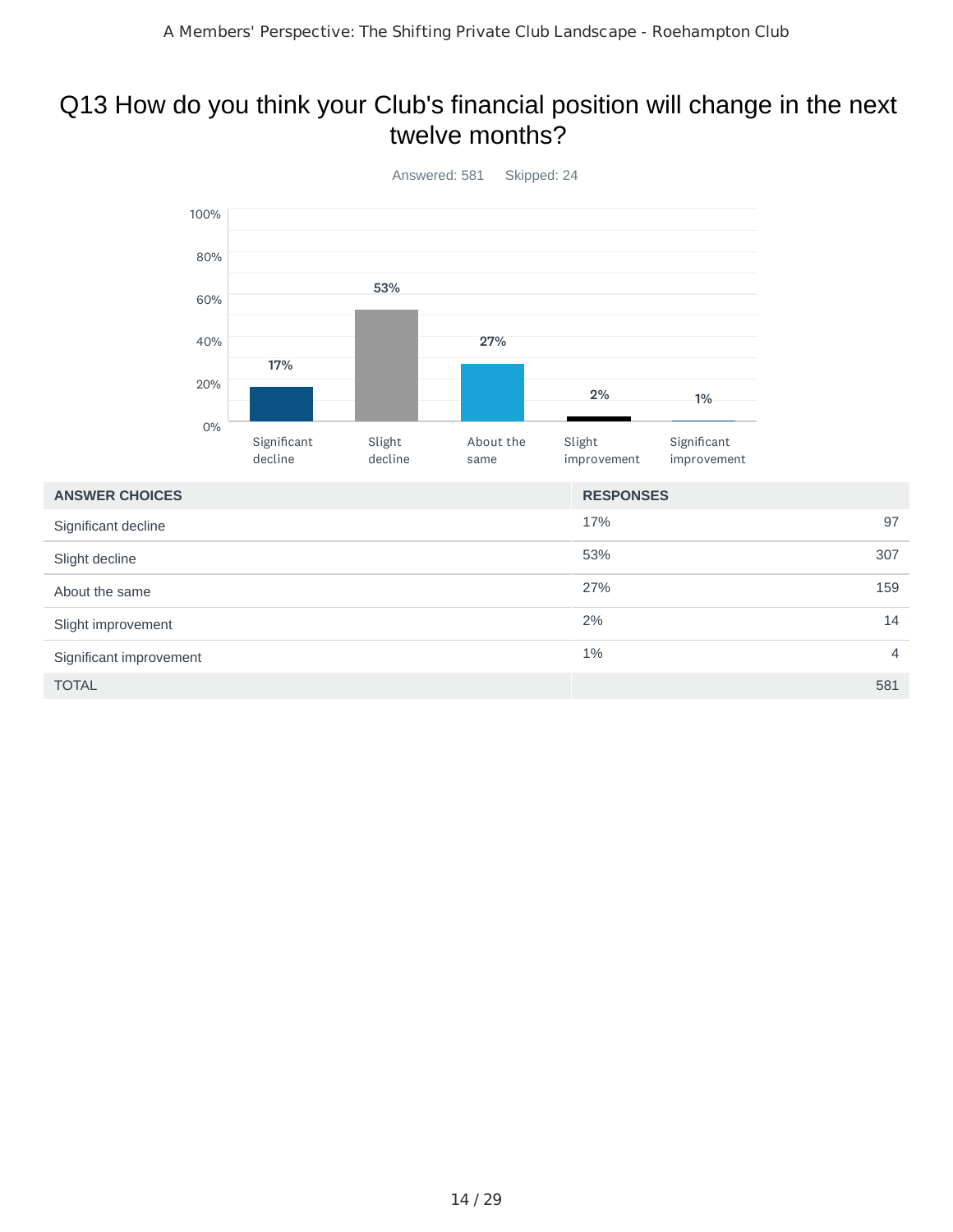#### Q13 How do you think your Club's financial position will change in the next twelve months?



27% 159

 $2\%$  14

 $1\%$  4

| About the same |  |  |
|----------------|--|--|

Slight decline

| Significant improvement |
|-------------------------|
|                         |

 $\blacksquare$  TOTAL  $\blacksquare$  581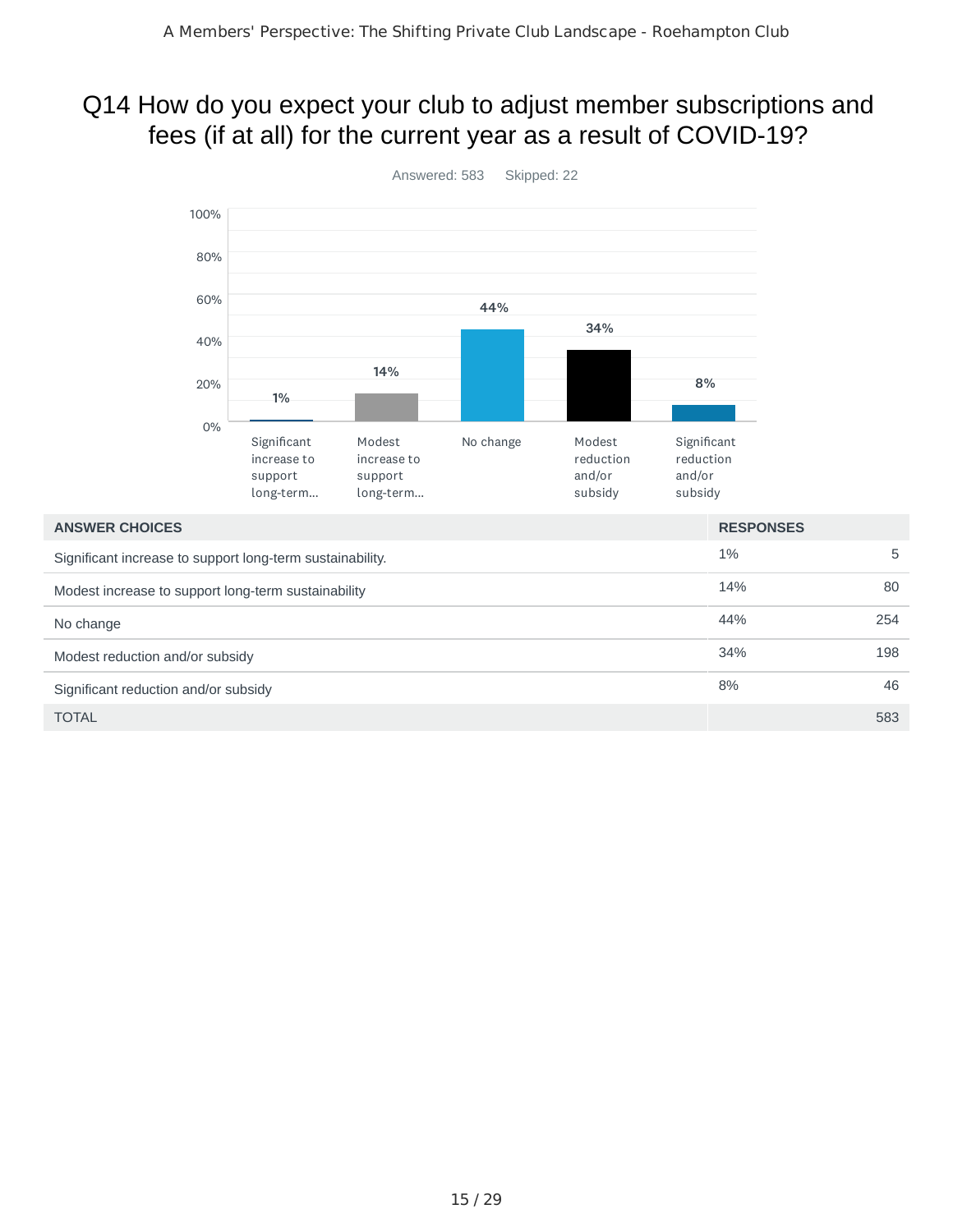## Q14 How do you expect your club to adjust member subscriptions and fees (if at all) for the current year as a result of COVID-19?



15 / 29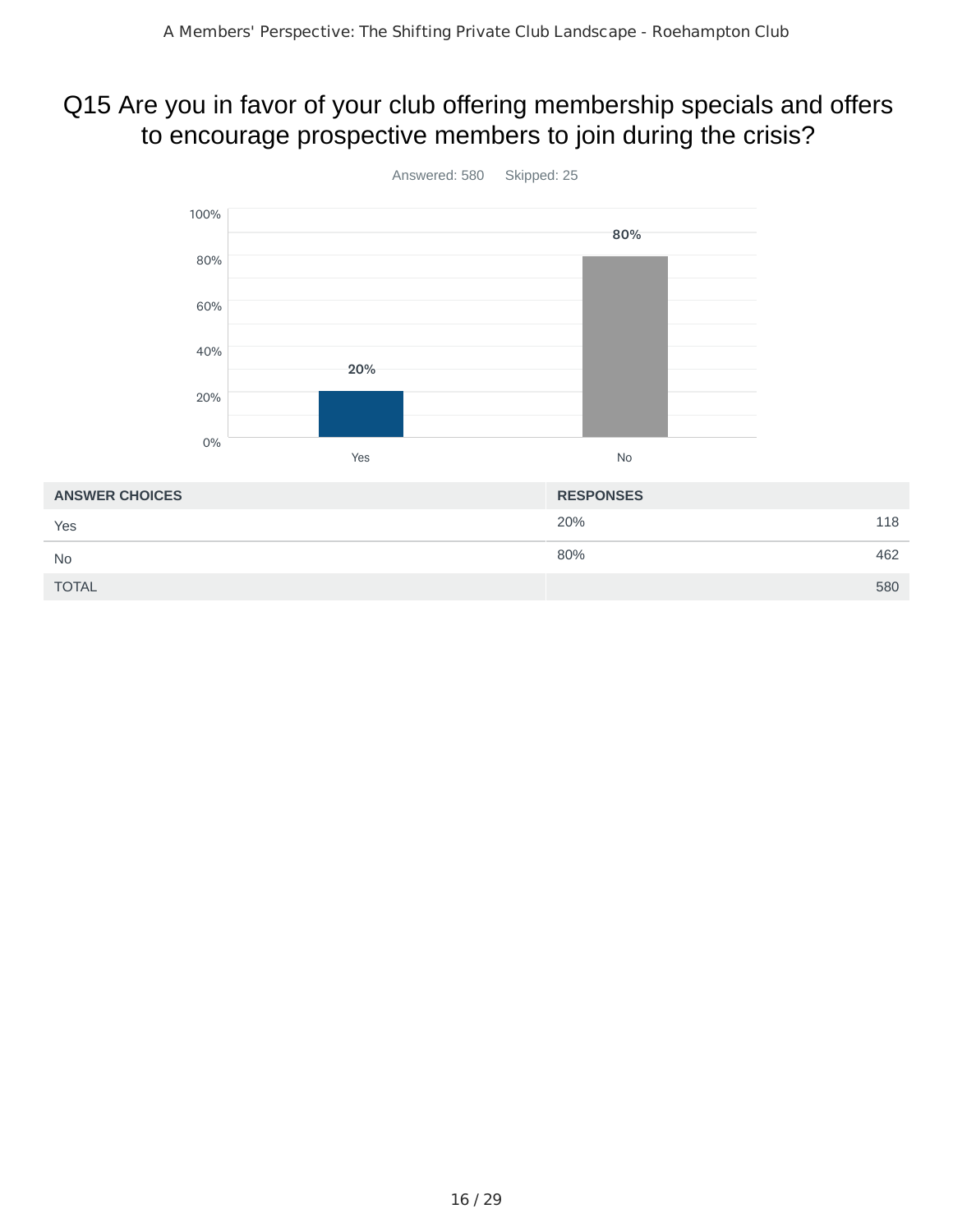### Q15 Are you in favor of your club offering membership specials and offers to encourage prospective members to join during the crisis?



20% 118 80% 462 TOTAL 580 **ANSWER CHOICES RESPONSES** Yes No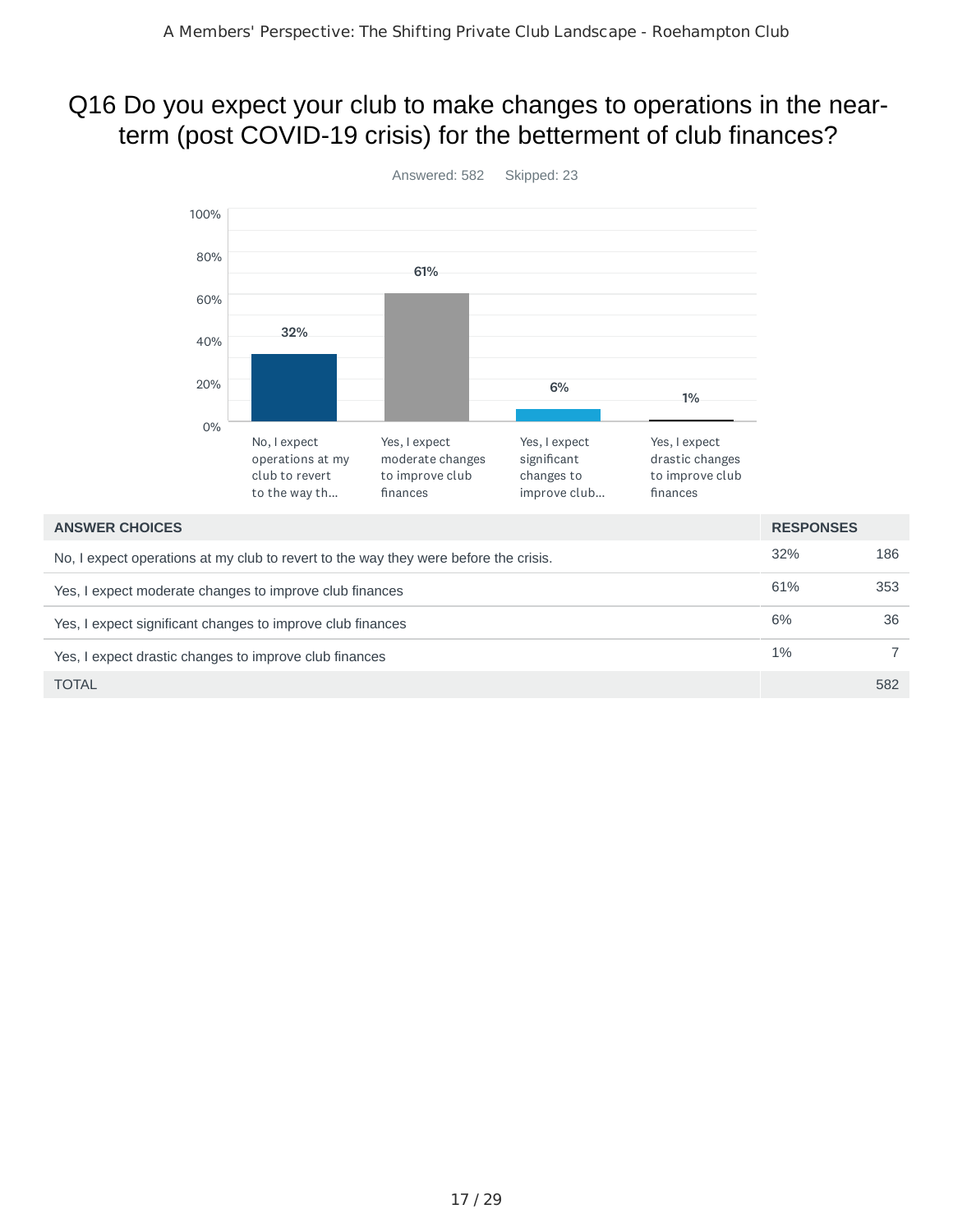## Q16 Do you expect your club to make changes to operations in the nearterm (post COVID-19 crisis) for the betterment of club finances?



1% 7

Yes, I expect drastic changes to improve club finances

TOTAL 582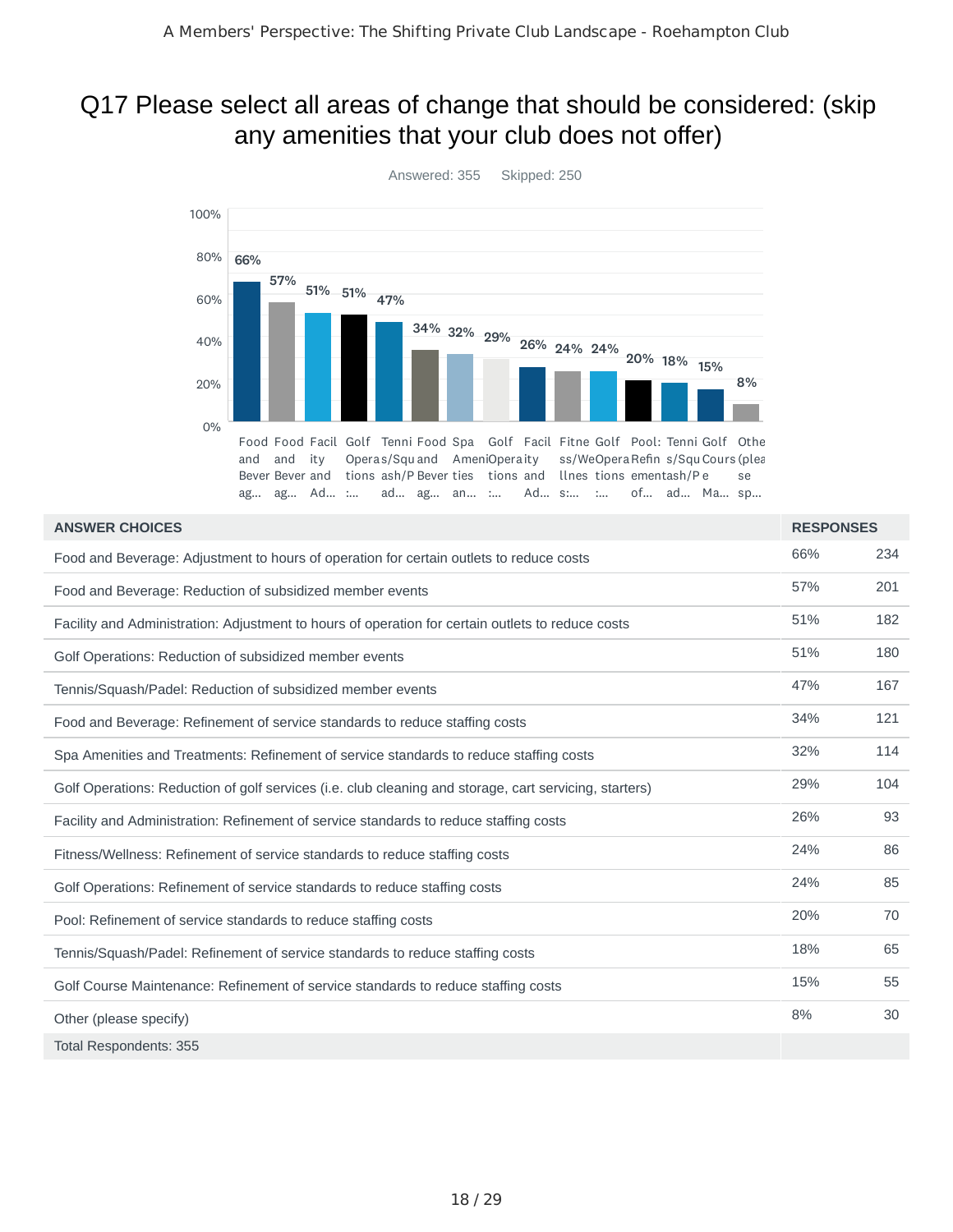#### Q17 Please select all areas of change that should be considered: (skip any amenities that your club does not offer)



| <b>ANSWER CHOICES</b>                                                                                  | <b>RESPONSES</b> |     |
|--------------------------------------------------------------------------------------------------------|------------------|-----|
| Food and Beverage: Adjustment to hours of operation for certain outlets to reduce costs                | 66%              | 234 |
| Food and Beverage: Reduction of subsidized member events                                               | 57%              | 201 |
| Facility and Administration: Adjustment to hours of operation for certain outlets to reduce costs      | 51%              | 182 |
| Golf Operations: Reduction of subsidized member events                                                 | 51%              | 180 |
| Tennis/Squash/Padel: Reduction of subsidized member events                                             | 47%              | 167 |
| Food and Beverage: Refinement of service standards to reduce staffing costs                            | 34%              | 121 |
| Spa Amenities and Treatments: Refinement of service standards to reduce staffing costs                 | 32%              | 114 |
| Golf Operations: Reduction of golf services (i.e. club cleaning and storage, cart servicing, starters) | 29%              | 104 |
| Facility and Administration: Refinement of service standards to reduce staffing costs                  | 26%              | 93  |
| Fitness/Wellness: Refinement of service standards to reduce staffing costs                             | 24%              | 86  |
| Golf Operations: Refinement of service standards to reduce staffing costs                              | 24%              | 85  |
| Pool: Refinement of service standards to reduce staffing costs                                         | 20%              | 70  |
| Tennis/Squash/Padel: Refinement of service standards to reduce staffing costs                          | 18%              | 65  |
| Golf Course Maintenance: Refinement of service standards to reduce staffing costs                      | 15%              | 55  |
| Other (please specify)                                                                                 | 8%               | 30  |
| Total Respondents: 355                                                                                 |                  |     |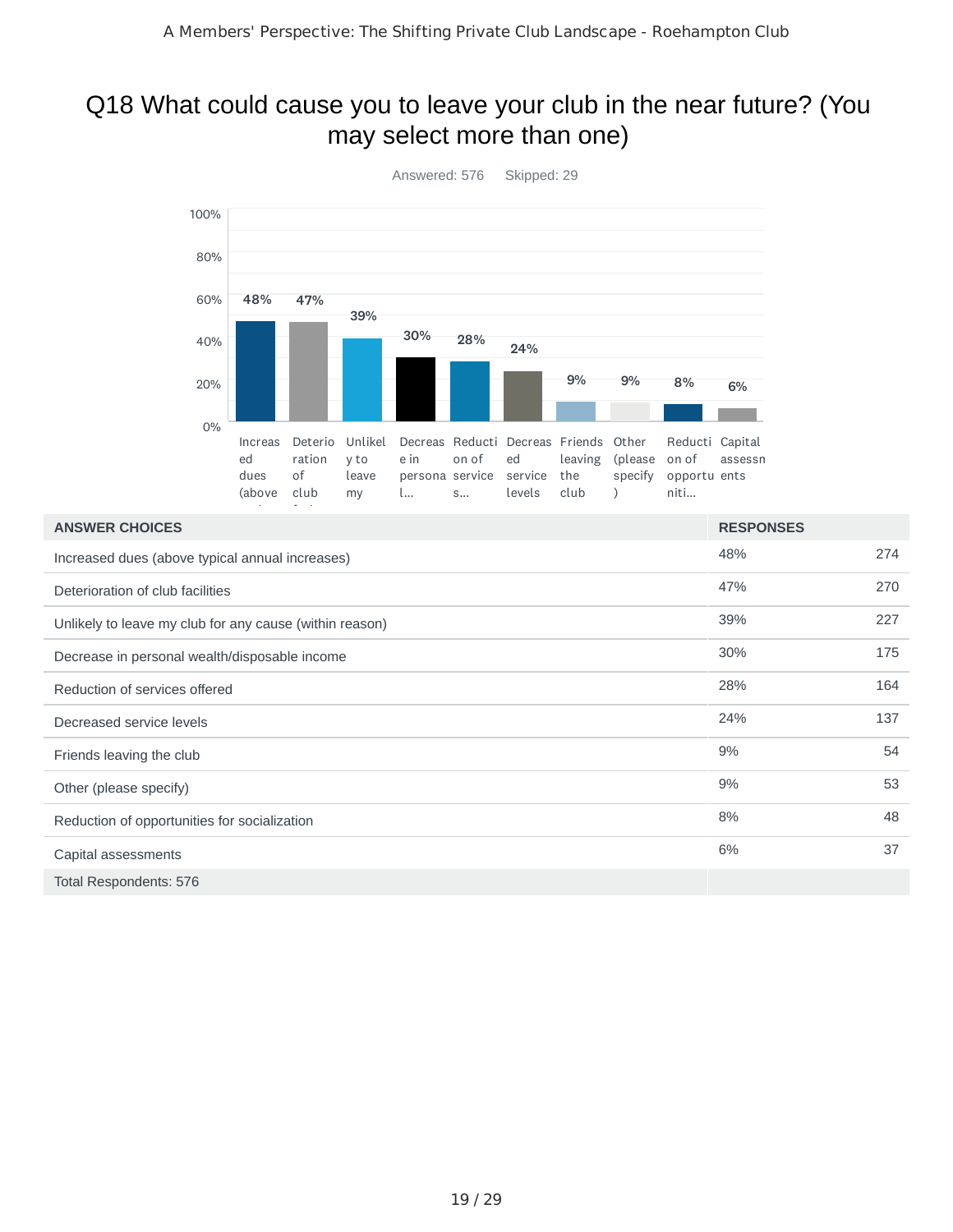#### Q18 What could cause you to leave your club in the near future? (You may select more than one)



| <b>ANSWER CHOICES</b>                                   | <b>RESPONSES</b> |     |
|---------------------------------------------------------|------------------|-----|
| Increased dues (above typical annual increases)         | 48%              | 274 |
| Deterioration of club facilities                        | 47%              | 270 |
| Unlikely to leave my club for any cause (within reason) | 39%              | 227 |
| Decrease in personal wealth/disposable income           | 30%              | 175 |
| Reduction of services offered                           | 28%              | 164 |
| Decreased service levels                                | 24%              | 137 |
| Friends leaving the club                                | 9%               | 54  |
| Other (please specify)                                  | 9%               | 53  |
| Reduction of opportunities for socialization            | 8%               | 48  |
| Capital assessments                                     | 6%               | 37  |
| <b>Total Respondents: 576</b>                           |                  |     |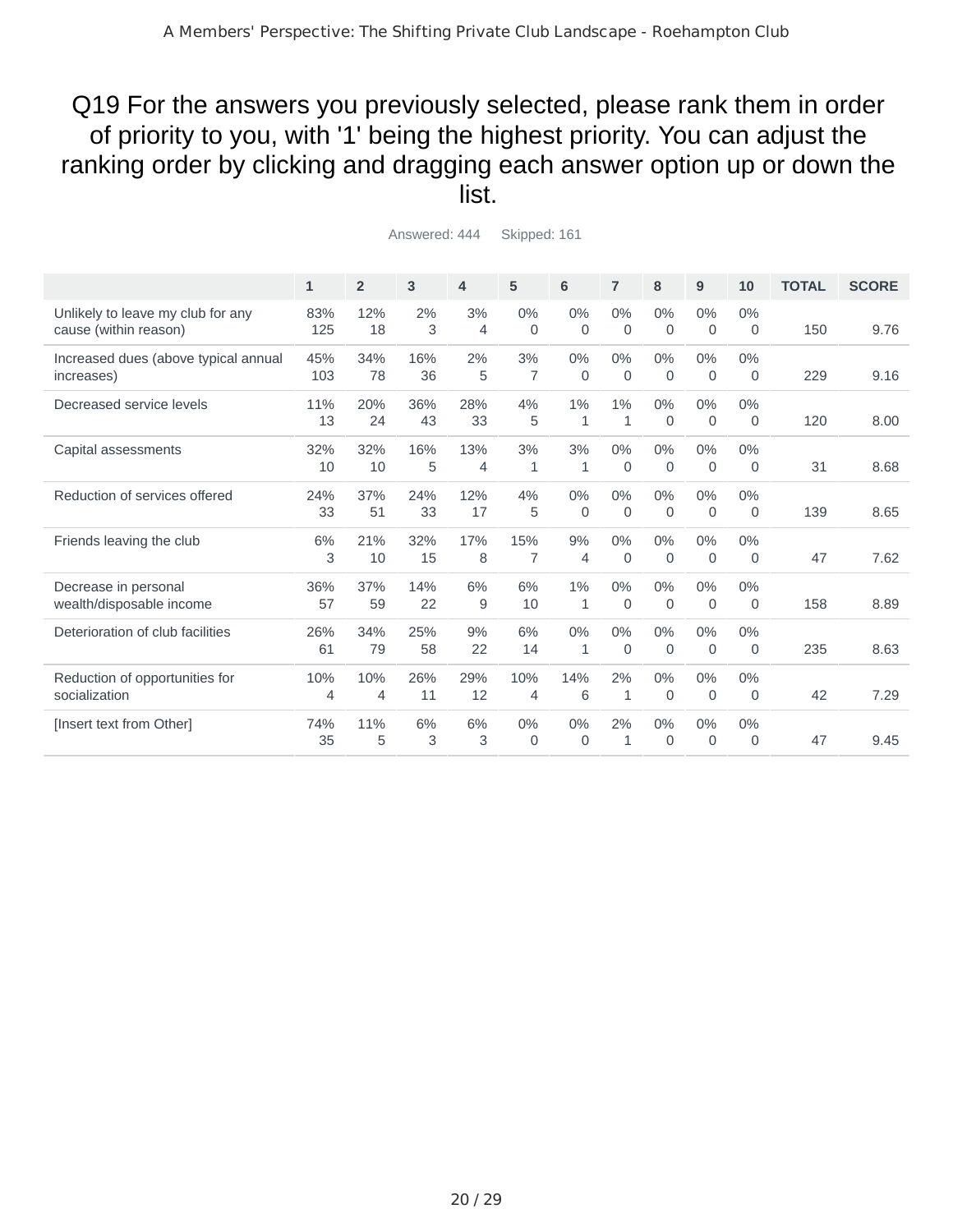### Q19 For the answers you previously selected, please rank them in order of priority to you, with '1' being the highest priority. You can adjust the ranking order by clicking and dragging each answer option up or down the list.

|                                                            | $\mathbf{1}$ | $\overline{2}$ | 3         | $\overline{\mathbf{4}}$ | 5                     | 6                    | $\overline{7}$       | 8                    | 9                 | 10                    | <b>TOTAL</b> | <b>SCORE</b> |
|------------------------------------------------------------|--------------|----------------|-----------|-------------------------|-----------------------|----------------------|----------------------|----------------------|-------------------|-----------------------|--------------|--------------|
| Unlikely to leave my club for any<br>cause (within reason) | 83%<br>125   | 12%<br>18      | 2%<br>3   | 3%<br>4                 | 0%<br>$\Omega$        | 0%<br>$\Omega$       | $0\%$<br>$\mathbf 0$ | $0\%$<br>$\mathbf 0$ | 0%<br>$\mathbf 0$ | 0%<br>$\Omega$        | 150          | 9.76         |
| Increased dues (above typical annual<br>increases)         | 45%<br>103   | 34%<br>78      | 16%<br>36 | 2%<br>5                 | 3%<br>7               | $0\%$<br>$\mathbf 0$ | $0\%$<br>$\mathbf 0$ | $0\%$<br>$\mathbf 0$ | 0%<br>$\mathbf 0$ | 0%<br>$\mathbf 0$     | 229          | 9.16         |
| Decreased service levels                                   | 11%<br>13    | 20%<br>24      | 36%<br>43 | 28%<br>33               | 4%<br>5               | 1%<br>$\mathbf{1}$   | 1%<br>$\mathbf{1}$   | $0\%$<br>$\mathbf 0$ | 0%<br>$\mathbf 0$ | 0%<br>$\Omega$        | 120          | 8.00         |
| Capital assessments                                        | 32%<br>10    | 32%<br>10      | 16%<br>5  | 13%<br>$\overline{4}$   | 3%<br>1               | 3%<br>1              | $0\%$<br>0           | $0\%$<br>$\mathbf 0$ | 0%<br>$\mathbf 0$ | 0%<br>0               | 31           | 8.68         |
| Reduction of services offered                              | 24%<br>33    | 37%<br>51      | 24%<br>33 | 12%<br>17               | 4%<br>5               | 0%<br>$\mathbf 0$    | $0\%$<br>$\mathbf 0$ | $0\%$<br>$\mathbf 0$ | 0%<br>$\mathbf 0$ | 0%<br>0               | 139          | 8.65         |
| Friends leaving the club                                   | 6%<br>3      | 21%<br>10      | 32%<br>15 | 17%<br>8                | 15%<br>7              | 9%<br>4              | $0\%$<br>0           | $0\%$<br>0           | 0%<br>$\mathbf 0$ | $0\%$<br>$\mathbf{0}$ | 47           | 7.62         |
| Decrease in personal<br>wealth/disposable income           | 36%<br>57    | 37%<br>59      | 14%<br>22 | 6%<br>9                 | 6%<br>10              | $1\%$<br>$\mathbf 1$ | $0\%$<br>$\mathbf 0$ | $0\%$<br>$\mathbf 0$ | 0%<br>$\mathbf 0$ | 0%<br>0               | 158          | 8.89         |
| Deterioration of club facilities                           | 26%<br>61    | 34%<br>79      | 25%<br>58 | 9%<br>22                | 6%<br>14              | 0%<br>1              | $0\%$<br>0           | $0\%$<br>$\mathbf 0$ | 0%<br>$\mathbf 0$ | 0%<br>$\Omega$        | 235          | 8.63         |
| Reduction of opportunities for<br>socialization            | 10%<br>4     | 10%<br>4       | 26%<br>11 | 29%<br>12               | 10%<br>$\overline{4}$ | 14%<br>6             | 2%<br>1              | $0\%$<br>$\mathbf 0$ | 0%<br>0           | 0%<br>0               | 42           | 7.29         |
| [Insert text from Other]                                   | 74%<br>35    | 11%<br>5       | 6%<br>3   | 6%<br>3                 | 0%<br>$\Omega$        | 0%<br>$\Omega$       | 2%<br>$\mathbf{1}$   | $0\%$<br>$\Omega$    | 0%<br>$\Omega$    | $0\%$<br>$\Omega$     | 47           | 9.45         |
|                                                            |              |                |           |                         |                       |                      |                      |                      |                   |                       |              |              |

Answered: 444 Skipped: 161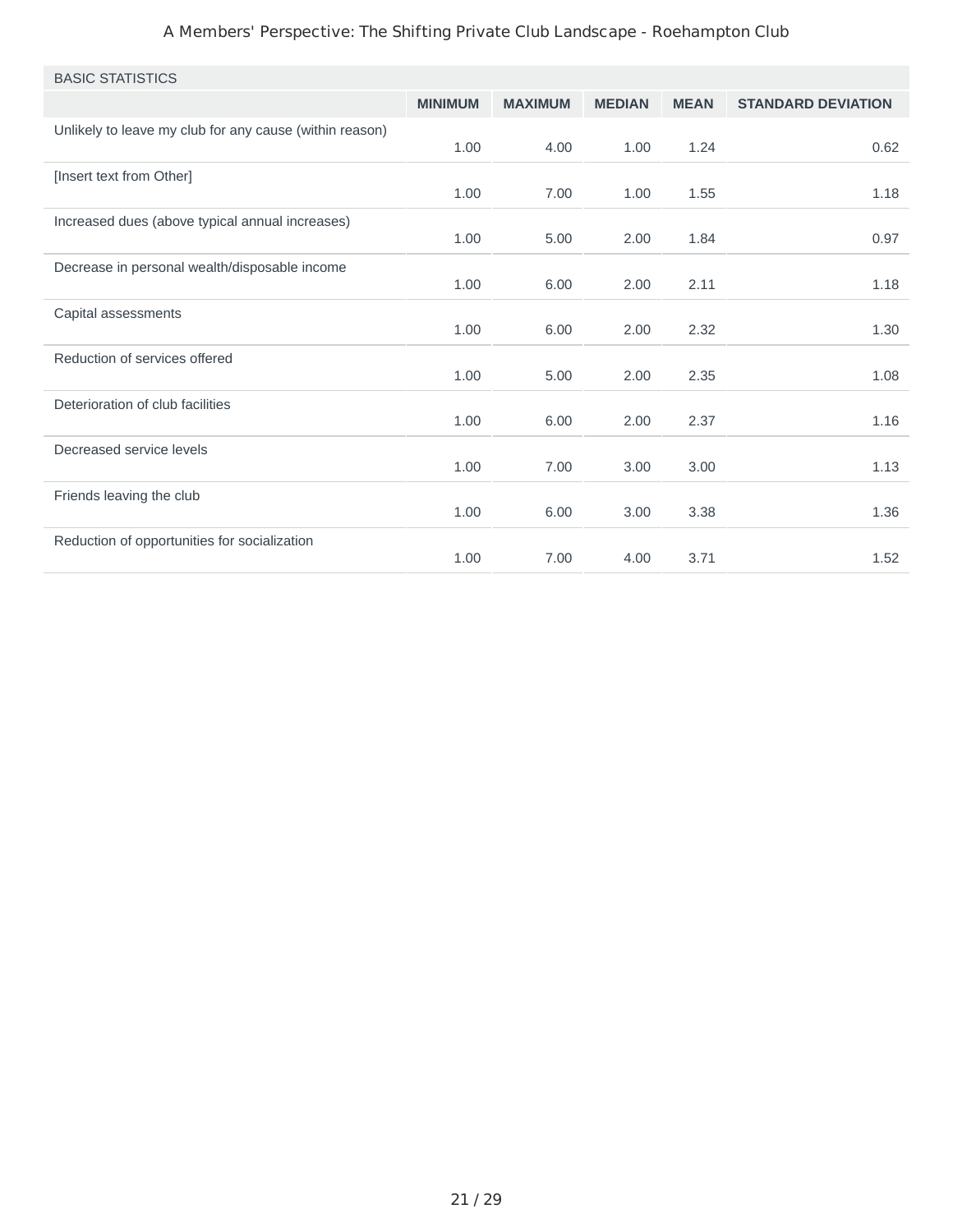#### A Members' Perspective: The Shifting Private Club Landscape - Roehampton Club

| <b>BASIC STATISTICS</b>                                 |                |                |               |             |                           |
|---------------------------------------------------------|----------------|----------------|---------------|-------------|---------------------------|
|                                                         | <b>MINIMUM</b> | <b>MAXIMUM</b> | <b>MEDIAN</b> | <b>MEAN</b> | <b>STANDARD DEVIATION</b> |
| Unlikely to leave my club for any cause (within reason) | 1.00           | 4.00           | 1.00          | 1.24        | 0.62                      |
| [Insert text from Other]                                | 1.00           | 7.00           | 1.00          | 1.55        | 1.18                      |
| Increased dues (above typical annual increases)         | 1.00           | 5.00           | 2.00          | 1.84        | 0.97                      |
| Decrease in personal wealth/disposable income           | 1.00           | 6.00           | 2.00          | 2.11        | 1.18                      |
| Capital assessments                                     | 1.00           | 6.00           | 2.00          | 2.32        | 1.30                      |
| Reduction of services offered                           | 1.00           | 5.00           | 2.00          | 2.35        | 1.08                      |
| Deterioration of club facilities                        | 1.00           | 6.00           | 2.00          | 2.37        | 1.16                      |
| Decreased service levels                                | 1.00           | 7.00           | 3.00          | 3.00        | 1.13                      |
| Friends leaving the club                                | 1.00           | 6.00           | 3.00          | 3.38        | 1.36                      |
| Reduction of opportunities for socialization            | 1.00           | 7.00           | 4.00          | 3.71        | 1.52                      |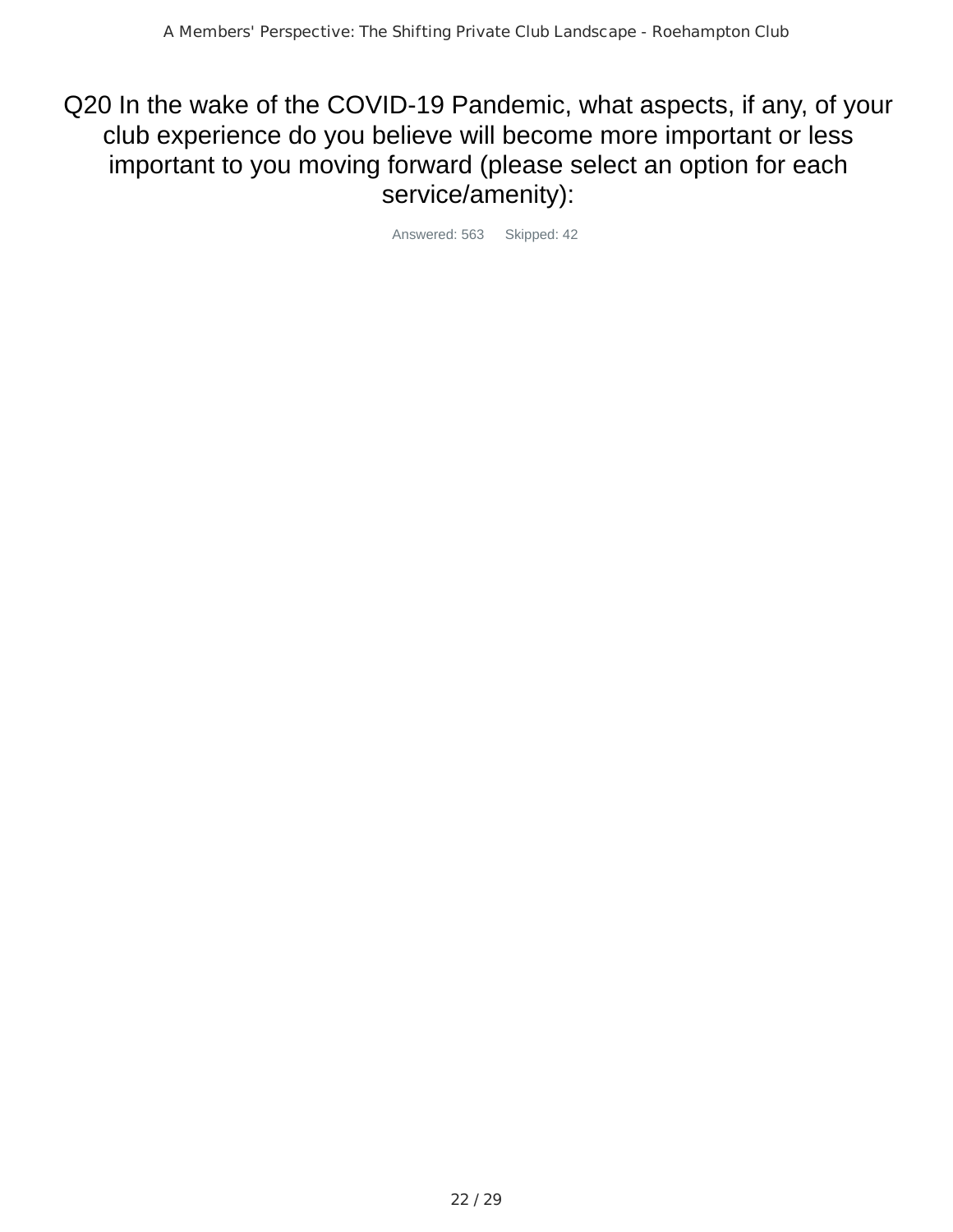Q20 In the wake of the COVID-19 Pandemic, what aspects, if any, of your club experience do you believe will become more important or less important to you moving forward (please select an option for each service/amenity):

Answered: 563 Skipped: 42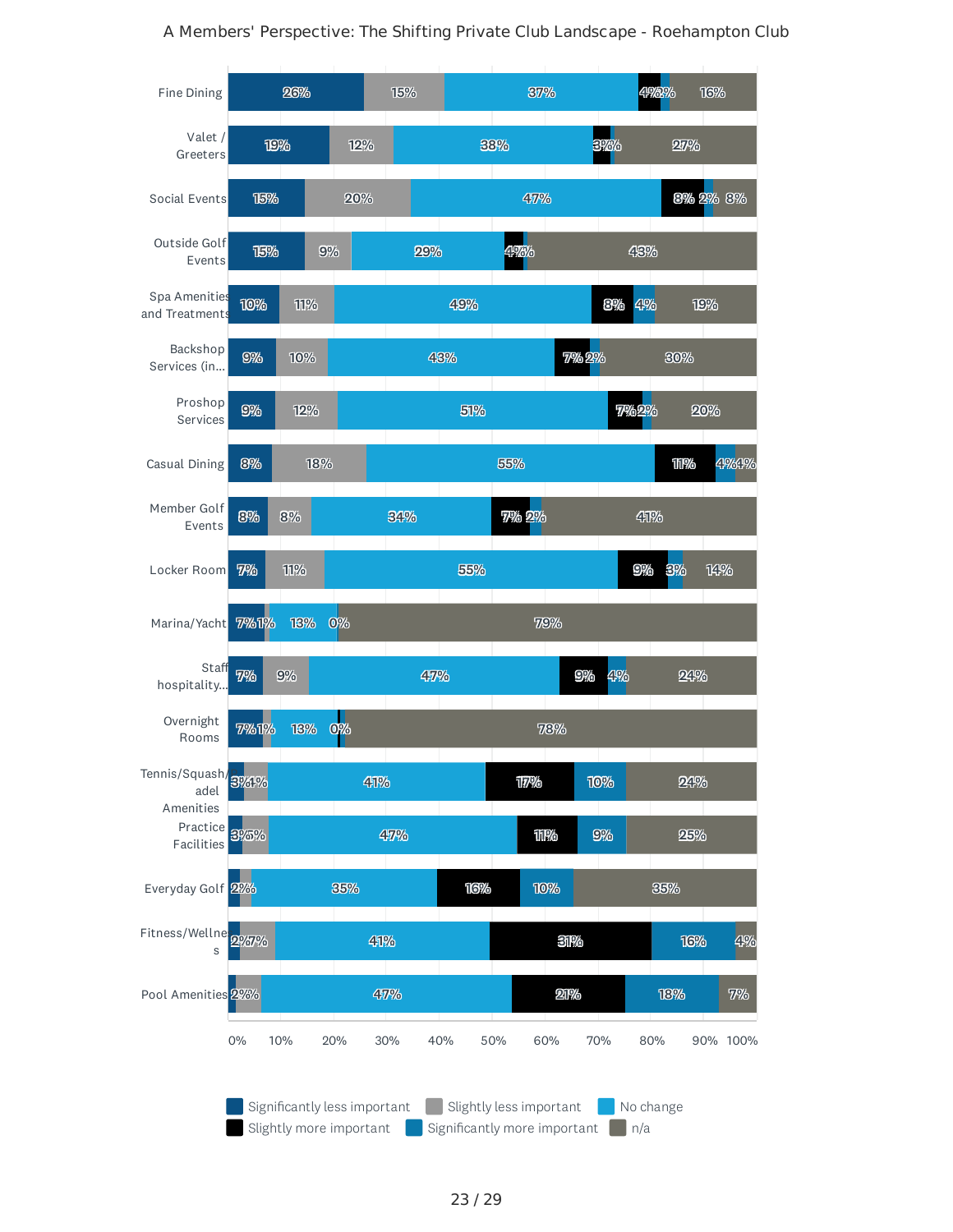



23 / 29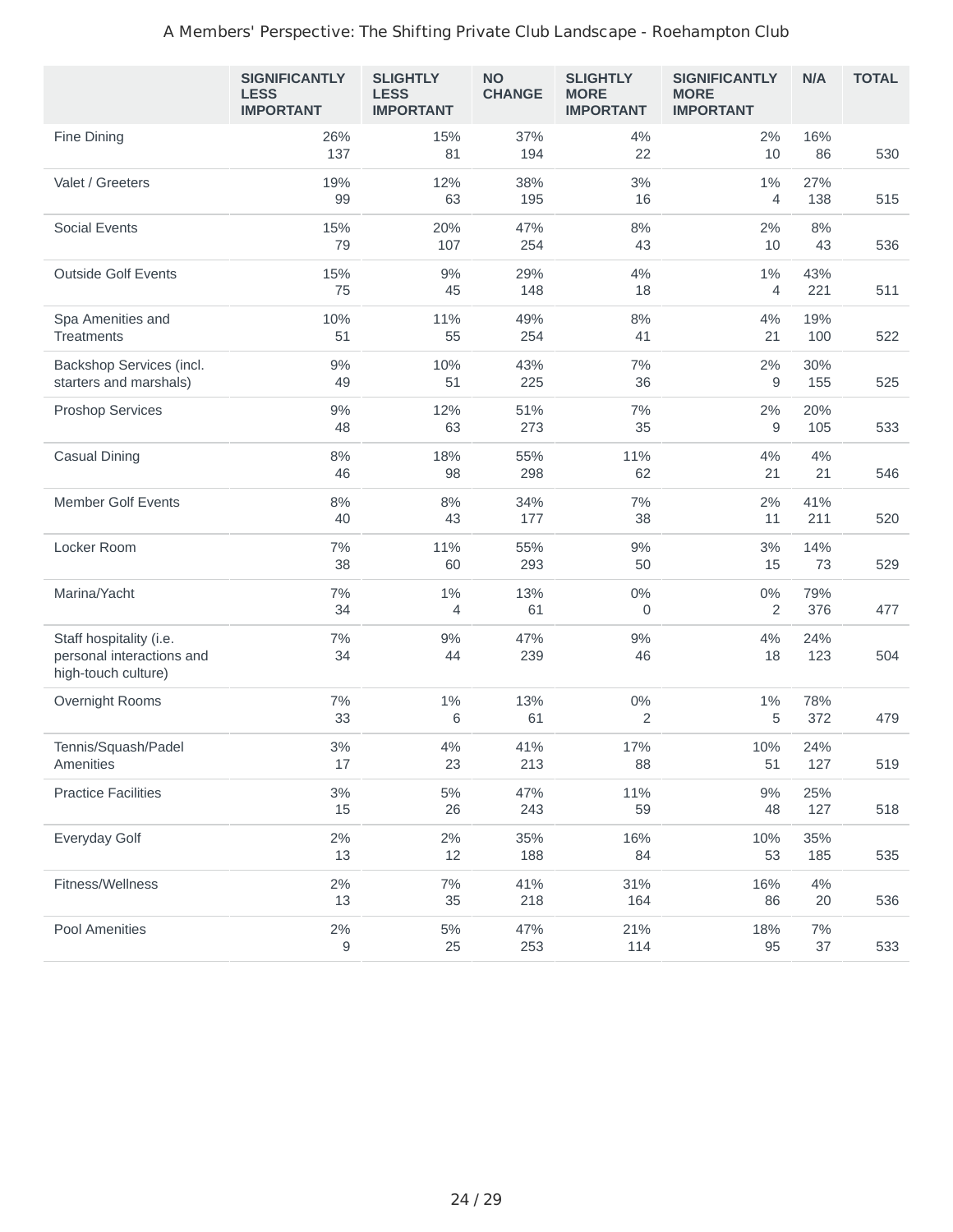#### A Members' Perspective: The Shifting Private Club Landscape - Roehampton Club

|                                                                             | <b>SIGNIFICANTLY</b><br><b>LESS</b><br><b>IMPORTANT</b> | <b>SLIGHTLY</b><br><b>LESS</b><br><b>IMPORTANT</b> | <b>NO</b><br><b>CHANGE</b> | <b>SLIGHTLY</b><br><b>MORE</b><br><b>IMPORTANT</b> | <b>SIGNIFICANTLY</b><br><b>MORE</b><br><b>IMPORTANT</b> | <b>N/A</b>  | <b>TOTAL</b> |
|-----------------------------------------------------------------------------|---------------------------------------------------------|----------------------------------------------------|----------------------------|----------------------------------------------------|---------------------------------------------------------|-------------|--------------|
| Fine Dining                                                                 | 26%<br>137                                              | 15%<br>81                                          | 37%<br>194                 | 4%<br>22                                           | 2%<br>10                                                | 16%<br>86   | 530          |
| Valet / Greeters                                                            | 19%<br>99                                               | 12%<br>63                                          | 38%<br>195                 | 3%<br>16                                           | 1%<br>$\overline{4}$                                    | 27%<br>138  | 515          |
| <b>Social Events</b>                                                        | 15%<br>79                                               | 20%<br>107                                         | 47%<br>254                 | 8%<br>43                                           | 2%<br>10                                                | 8%<br>43    | 536          |
| <b>Outside Golf Events</b>                                                  | 15%<br>75                                               | 9%<br>45                                           | 29%<br>148                 | 4%<br>18                                           | 1%<br>4                                                 | 43%<br>221  | 511          |
| Spa Amenities and<br>Treatments                                             | 10%<br>51                                               | 11%<br>55                                          | 49%<br>254                 | 8%<br>41                                           | 4%<br>21                                                | 19%<br>100  | 522          |
| Backshop Services (incl.<br>starters and marshals)                          | 9%<br>49                                                | 10%<br>51                                          | 43%<br>225                 | 7%<br>36                                           | 2%<br>9                                                 | 30%<br>155  | 525          |
| <b>Proshop Services</b>                                                     | 9%<br>48                                                | 12%<br>63                                          | 51%<br>273                 | 7%<br>35                                           | 2%<br>9                                                 | 20%<br>105  | 533          |
| <b>Casual Dining</b>                                                        | 8%<br>46                                                | 18%<br>98                                          | 55%<br>298                 | 11%<br>62                                          | 4%<br>21                                                | 4%<br>21    | 546          |
| <b>Member Golf Events</b>                                                   | 8%<br>40                                                | $8\%$<br>43                                        | 34%<br>177                 | 7%<br>38                                           | 2%<br>11                                                | 41%<br>211  | 520          |
| Locker Room                                                                 | 7%<br>38                                                | 11%<br>60                                          | 55%<br>293                 | 9%<br>50                                           | 3%<br>15                                                | 14%<br>73   | 529          |
| Marina/Yacht                                                                | 7%<br>34                                                | $1\%$<br>4                                         | 13%<br>61                  | $0\%$<br>0                                         | $0\%$<br>$\overline{c}$                                 | 79%<br>376  | 477          |
| Staff hospitality (i.e.<br>personal interactions and<br>high-touch culture) | 7%<br>34                                                | 9%<br>44                                           | 47%<br>239                 | 9%<br>46                                           | 4%<br>18                                                | 24%<br>123  | 504          |
| Overnight Rooms                                                             | 7%<br>33                                                | 1%<br>6                                            | 13%<br>61                  | 0%<br>$\overline{2}$                               | $1\%$<br>5                                              | 78%<br>372  | 479          |
| Tennis/Squash/Padel<br>Amenities                                            | 3%<br>17                                                | 4%<br>23                                           | 41%<br>213                 | 17%<br>88                                          | 10%<br>51                                               | 24%<br>127  | 519          |
| <b>Practice Facilities</b>                                                  | 3%<br>15                                                | $5\%$<br>26                                        | 47%<br>243                 | 11%<br>59                                          | $9\%$<br>48                                             | 25%<br>127  | 518          |
| Everyday Golf                                                               | $2\%$<br>13                                             | $2\%$<br>12                                        | 35%<br>188                 | 16%<br>84                                          | 10%<br>53                                               | 35%<br>185  | 535          |
| Fitness/Wellness                                                            | $2\%$<br>13                                             | 7%<br>35                                           | 41%<br>218                 | 31%<br>164                                         | 16%<br>86                                               | $4\%$<br>20 | 536          |
| Pool Amenities                                                              | $2\%$<br>$\mathsf 9$                                    | 5%<br>25                                           | 47%<br>253                 | 21%<br>114                                         | 18%<br>95                                               | 7%<br>37    | 533          |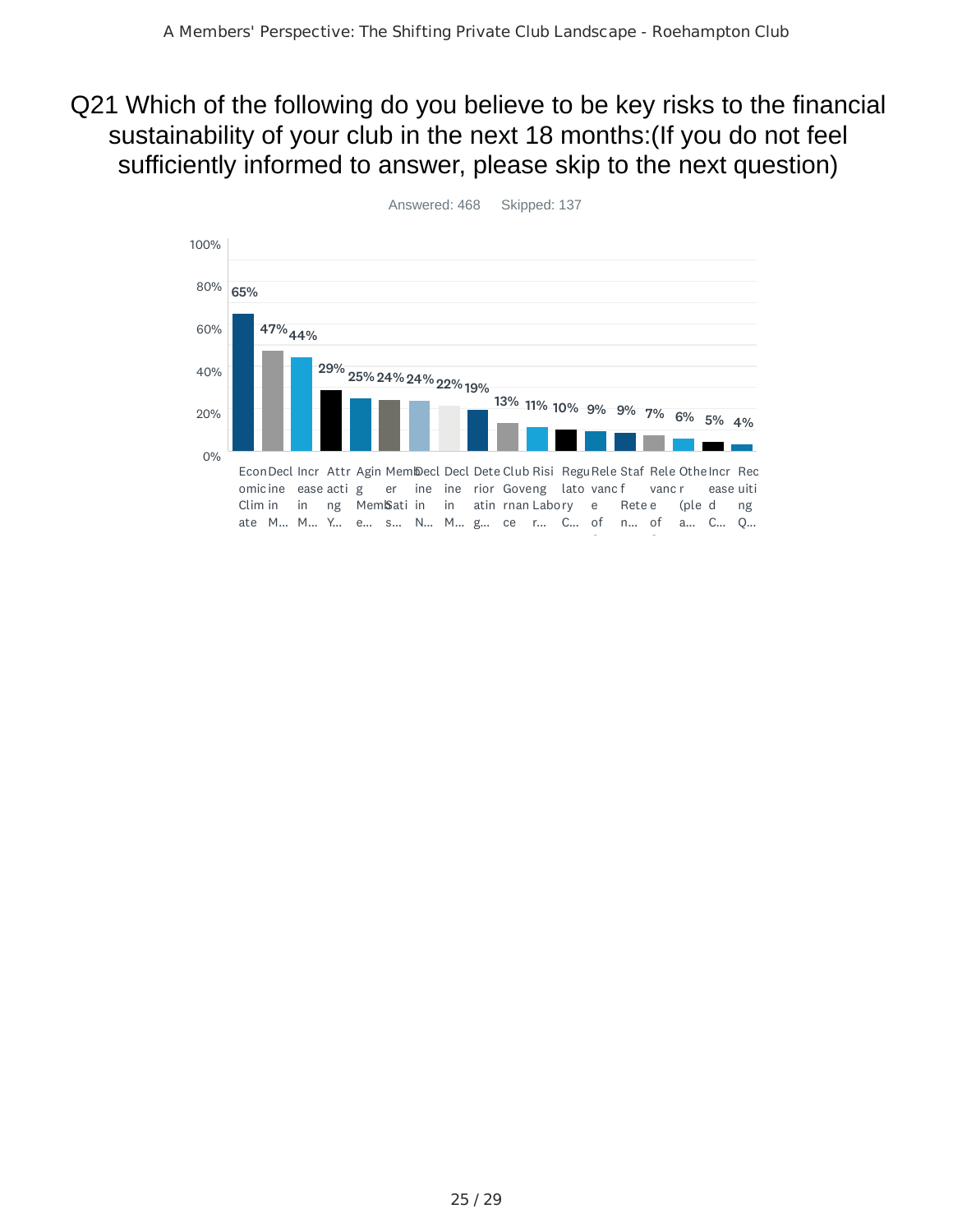#### Q21 Which of the following do you believe to be key risks to the financial sustainability of your club in the next 18 months:(If you do not feel sufficiently informed to answer, please skip to the next question)



Answered: 468 Skipped: 137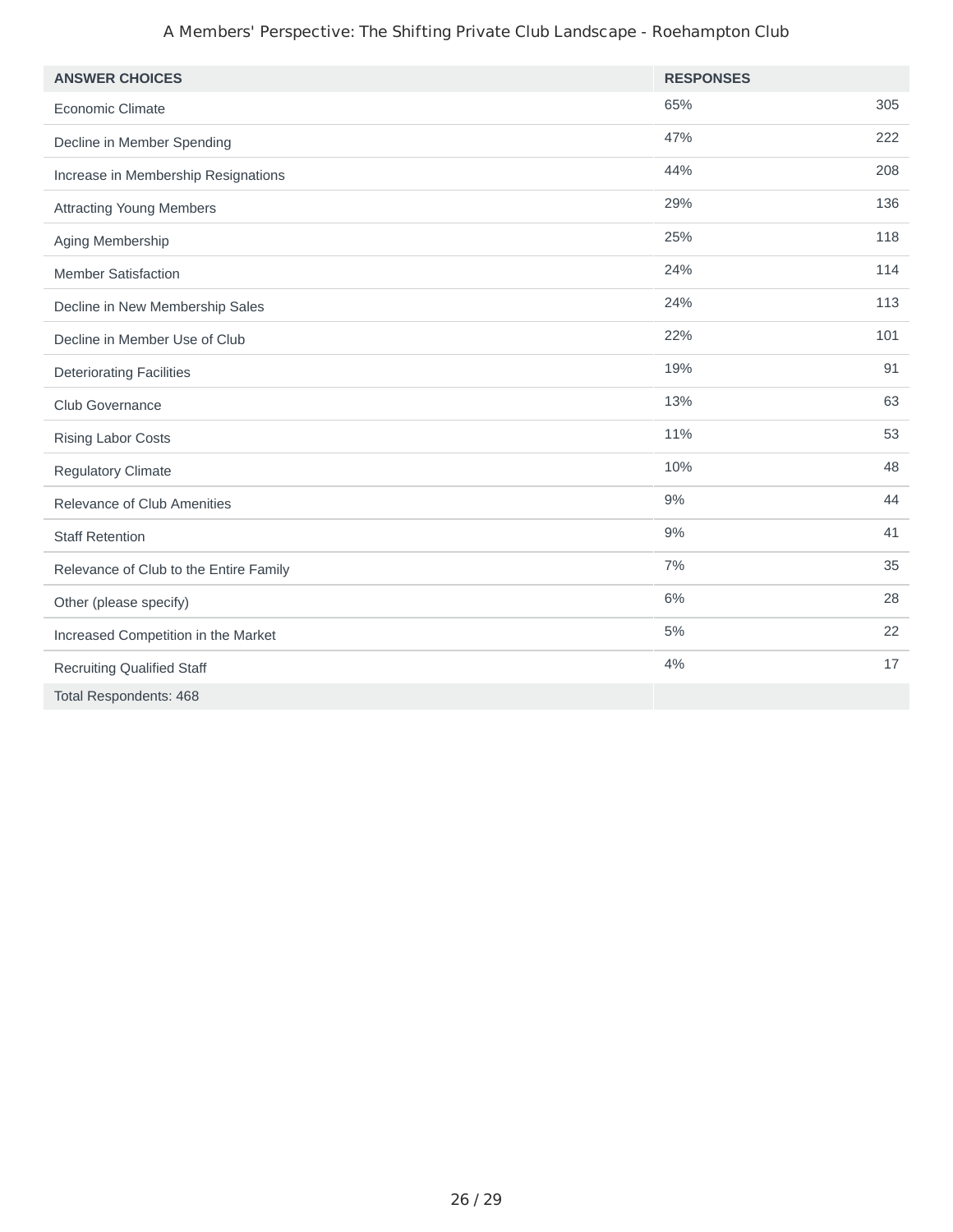#### A Members' Perspective: The Shifting Private Club Landscape - Roehampton Club

| <b>ANSWER CHOICES</b>                  | <b>RESPONSES</b> |     |
|----------------------------------------|------------------|-----|
| Economic Climate                       | 65%              | 305 |
| Decline in Member Spending             | 47%              | 222 |
| Increase in Membership Resignations    | 44%              | 208 |
| <b>Attracting Young Members</b>        | 29%              | 136 |
| Aging Membership                       | 25%              | 118 |
| <b>Member Satisfaction</b>             | 24%              | 114 |
| Decline in New Membership Sales        | 24%              | 113 |
| Decline in Member Use of Club          | 22%              | 101 |
| <b>Deteriorating Facilities</b>        | 19%              | 91  |
| Club Governance                        | 13%              | 63  |
| <b>Rising Labor Costs</b>              | 11%              | 53  |
| <b>Regulatory Climate</b>              | 10%              | 48  |
| Relevance of Club Amenities            | 9%               | 44  |
| <b>Staff Retention</b>                 | 9%               | 41  |
| Relevance of Club to the Entire Family | 7%               | 35  |
| Other (please specify)                 | 6%               | 28  |
| Increased Competition in the Market    | 5%               | 22  |
| <b>Recruiting Qualified Staff</b>      | 4%               | 17  |
| Total Respondents: 468                 |                  |     |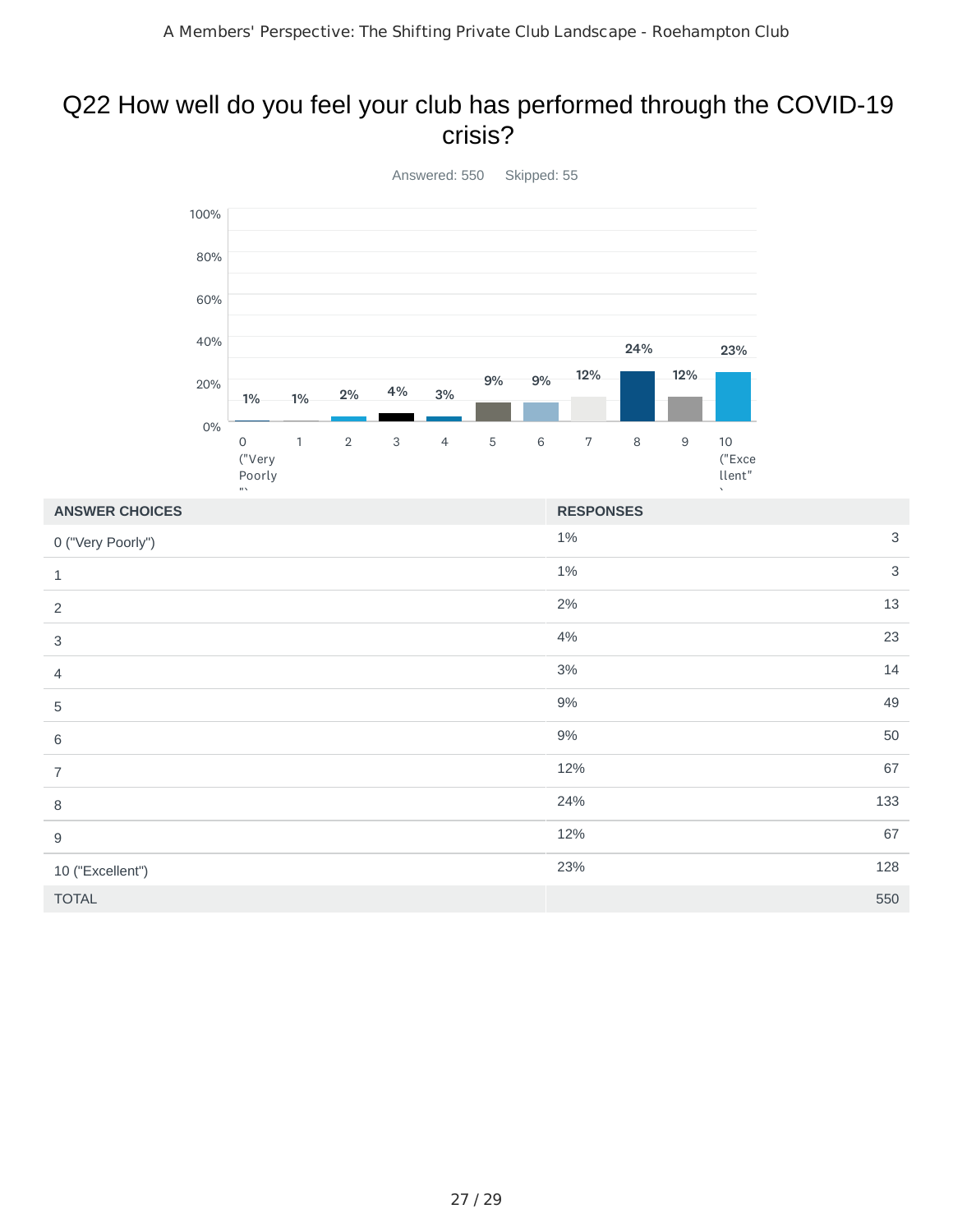#### Q22 How well do you feel your club has performed through the COVID-19 crisis?



 $1\%$  3  $1\%$  3  $2\%$  13 4% 23  $3\%$  14 9% 49 9% 50  $12\%$  67 24% 133  $12\%$  67 23% 128 TOTAL 550 **ANSWER CHOICES RESPONSES** 0 ("Very Poorly") 1 2 3 4 5 6 7 8 9 10 ("Excellent")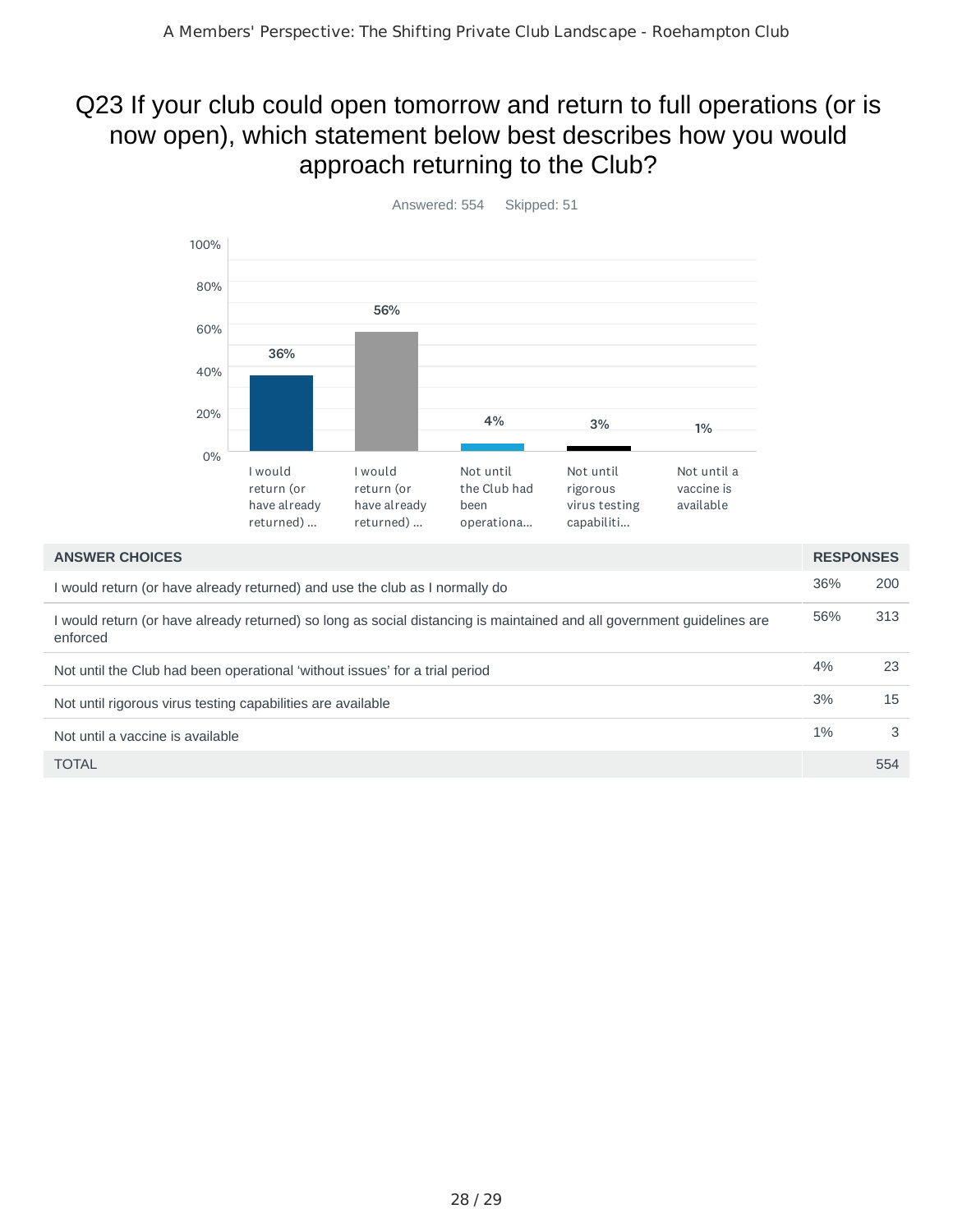## Q23 If your club could open tomorrow and return to full operations (or is now open), which statement below best describes how you would approach returning to the Club?



| <b>ANSWER CHOICES</b>                                                                                                              | <b>RESPONSES</b> |     |
|------------------------------------------------------------------------------------------------------------------------------------|------------------|-----|
| I would return (or have already returned) and use the club as I normally do                                                        | 36%              | 200 |
| I would return (or have already returned) so long as social distancing is maintained and all government guidelines are<br>enforced | 56%              | 313 |
| Not until the Club had been operational 'without issues' for a trial period                                                        | 4%               | 23  |
| Not until rigorous virus testing capabilities are available                                                                        | 3%               | 15  |
| Not until a vaccine is available                                                                                                   | $1\%$            | 3   |
| <b>TOTAL</b>                                                                                                                       |                  | 554 |